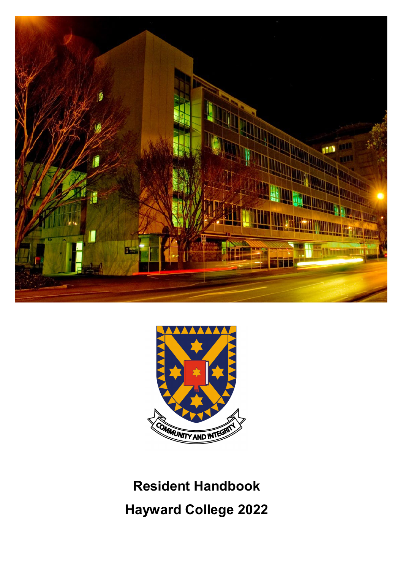



# **Resident Handbook Hayward College 2022**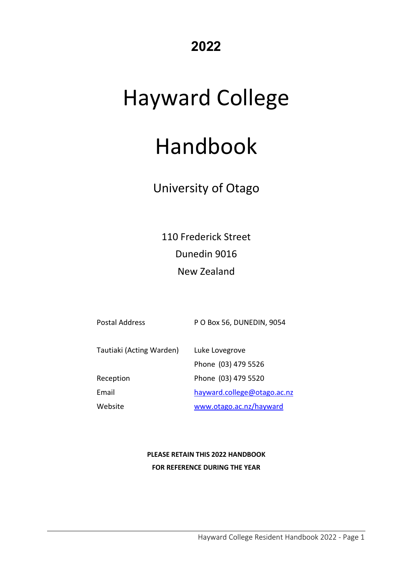# **2022**

# Hayward College

# Handbook

# University of Otago

110 Frederick Street Dunedin 9016 New Zealand

| <b>Postal Address</b>    | P O Box 56, DUNEDIN, 9054   |
|--------------------------|-----------------------------|
| Tautiaki (Acting Warden) | Luke Lovegrove              |
|                          | Phone (03) 479 5526         |
| Reception                | Phone (03) 479 5520         |
| Email                    | hayward.college@otago.ac.nz |
| Website                  | www.otago.ac.nz/hayward     |

### **PLEASE RETAIN THIS 2022 HANDBOOK FOR REFERENCE DURING THE YEAR**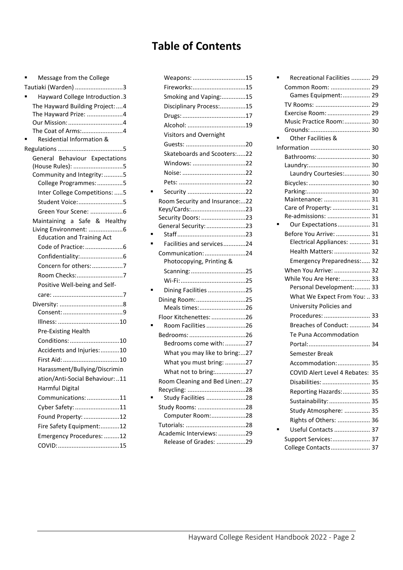# **Table of Contents**

| Message from the College                        |  |
|-------------------------------------------------|--|
| Tautiaki (Warden) 3                             |  |
| Hayward College Introduction.3                  |  |
| The Hayward Building Project:4                  |  |
| The Hayward Prize: 4                            |  |
|                                                 |  |
| The Coat of Arms:4<br>Residential Information & |  |
|                                                 |  |
| General Behaviour Expectations                  |  |
| (House Rules): 5                                |  |
| Community and Integrity: 5                      |  |
| College Programmes: 5                           |  |
| Inter College Competitions: 5                   |  |
| Student Voice:5                                 |  |
|                                                 |  |
| Maintaining a Safe & Healthy                    |  |
| Living Environment: 6                           |  |
| <b>Education and Training Act</b>               |  |
|                                                 |  |
|                                                 |  |
| Concern for others: 7                           |  |
| Room Checks:7                                   |  |
| Positive Well-being and Self-                   |  |
|                                                 |  |
|                                                 |  |
|                                                 |  |
| Pre-Existing Health                             |  |
| Conditions: 10                                  |  |
| Accidents and Injuries: 10                      |  |
|                                                 |  |
| Harassment/Bullying/Discrimin                   |  |
| ation/Anti-Social Behaviour:11                  |  |
| Harmful Digital                                 |  |
| Communications: 11                              |  |
| Cyber Safety: 11                                |  |
| Found Property: 12                              |  |
| Fire Safety Equipment:12                        |  |
| Emergency Procedures: 12                        |  |
|                                                 |  |

| Weapons: 15                                  |  |
|----------------------------------------------|--|
| Fireworks:15                                 |  |
| Smoking and Vaping:15                        |  |
| Disciplinary Process:15                      |  |
|                                              |  |
| Alcohol: 19                                  |  |
| Visitors and Overnight                       |  |
|                                              |  |
| Skateboards and Scooters:22                  |  |
| Windows: 22                                  |  |
|                                              |  |
|                                              |  |
|                                              |  |
| Room Security and Insurance:22               |  |
| Keys/Cards:23                                |  |
| Security Doors: 23                           |  |
| General Security: 23                         |  |
|                                              |  |
| Facilities and services24                    |  |
| Communication:24<br>Photocopying, Printing & |  |
| Scanning: 25                                 |  |
|                                              |  |
| Dining Facilities 25                         |  |
| Dining Room:25                               |  |
| Meals times:26                               |  |
| Floor Kitchenettes: 26                       |  |
| Room Facilities 26                           |  |
|                                              |  |
| Bedrooms come with:27                        |  |
| What you may like to bring:27                |  |
| What you must bring: 27                      |  |
| What not to bring:27                         |  |
| Room Cleaning and Bed Linen:27               |  |
|                                              |  |
| Study Facilities 28                          |  |
| Study Rooms: 28                              |  |
| Computer Room:28                             |  |
|                                              |  |
| Academic Interviews: 29                      |  |
| Release of Grades: 29                        |  |

| Recreational Facilities  29     |  |
|---------------------------------|--|
| Common Room:  29                |  |
| Games Equipment: 29             |  |
| TV Rooms:  29                   |  |
| Exercise Room:  29              |  |
| Music Practice Room: 30         |  |
|                                 |  |
| Other Facilities &              |  |
|                                 |  |
| Bathrooms:  30                  |  |
|                                 |  |
| Laundry Courtesies: 30          |  |
|                                 |  |
| Maintenance:  31                |  |
| Care of Property:  31           |  |
| Re-admissions:  31              |  |
| Our Expectations 31             |  |
| Before You Arrive:  31          |  |
| Electrical Appliances:  31      |  |
| Health Matters:  32             |  |
| Emergency Preparedness: 32      |  |
| When You Arrive:  32            |  |
| While You Are Here:  33         |  |
| Personal Development: 33        |  |
| What We Expect From You:  33    |  |
| University Policies and         |  |
| Procedures:  33                 |  |
| Breaches of Conduct:  34        |  |
| Te Puna Accommodation           |  |
|                                 |  |
| Semester Break                  |  |
| Accommodation: 35               |  |
| COVID Alert Level 4 Rebates: 35 |  |
| Disabilities:  35               |  |
| Reporting Hazards:  35          |  |
| Sustainability: 35              |  |
| Study Atmosphere:  35           |  |
| Rights of Others:  36           |  |
| Useful Contacts  37             |  |
| Support Services: 37            |  |
| College Contacts 37             |  |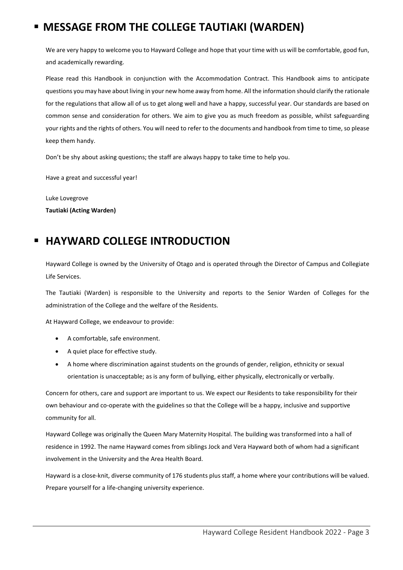# <span id="page-3-0"></span>**MESSAGE FROM THE COLLEGE TAUTIAKI (WARDEN)**

We are very happy to welcome you to Hayward College and hope that your time with us will be comfortable, good fun, and academically rewarding.

Please read this Handbook in conjunction with the Accommodation Contract. This Handbook aims to anticipate questions you may have about living in your new home away from home. All the information should clarify the rationale for the regulations that allow all of us to get along well and have a happy, successful year. Our standards are based on common sense and consideration for others. We aim to give you as much freedom as possible, whilst safeguarding your rights and the rights of others. You will need to refer to the documents and handbook from time to time, so please keep them handy.

Don't be shy about asking questions; the staff are always happy to take time to help you.

Have a great and successful year!

Luke Lovegrove **Tautiaki (Acting Warden)**

## <span id="page-3-1"></span>**HAYWARD COLLEGE INTRODUCTION**

Hayward College is owned by the University of Otago and is operated through the Director of Campus and Collegiate Life Services.

The Tautiaki (Warden) is responsible to the University and reports to the Senior Warden of Colleges for the administration of the College and the welfare of the Residents.

At Hayward College, we endeavour to provide:

- A comfortable, safe environment.
- A quiet place for effective study.
- A home where discrimination against students on the grounds of gender, religion, ethnicity or sexual orientation is unacceptable; as is any form of bullying, either physically, electronically or verbally.

Concern for others, care and support are important to us. We expect our Residents to take responsibility for their own behaviour and co-operate with the guidelines so that the College will be a happy, inclusive and supportive community for all.

Hayward College was originally the Queen Mary Maternity Hospital. The building was transformed into a hall of residence in 1992. The name Hayward comes from siblings Jock and Vera Hayward both of whom had a significant involvement in the University and the Area Health Board.

Hayward is a close-knit, diverse community of 176 students plus staff, a home where your contributions will be valued. Prepare yourself for a life-changing university experience.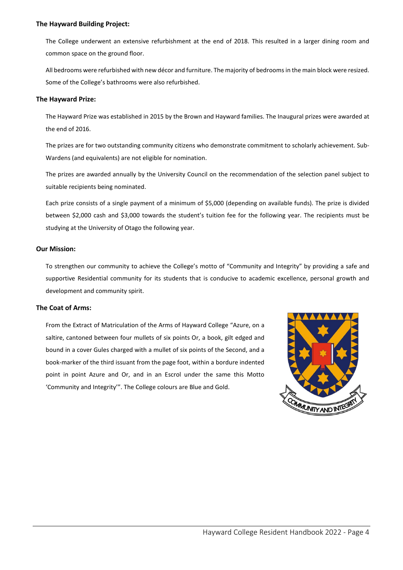#### <span id="page-4-0"></span>**The Hayward Building Project:**

The College underwent an extensive refurbishment at the end of 2018. This resulted in a larger dining room and common space on the ground floor.

All bedrooms were refurbished with new décor and furniture. The majority of bedrooms in the main block were resized. Some of the College's bathrooms were also refurbished.

#### <span id="page-4-1"></span>**The Hayward Prize:**

The Hayward Prize was established in 2015 by the Brown and Hayward families. The Inaugural prizes were awarded at the end of 2016.

The prizes are for two outstanding community citizens who demonstrate commitment to scholarly achievement. Sub-Wardens (and equivalents) are not eligible for nomination.

The prizes are awarded annually by the University Council on the recommendation of the selection panel subject to suitable recipients being nominated.

Each prize consists of a single payment of a minimum of \$5,000 (depending on available funds). The prize is divided between \$2,000 cash and \$3,000 towards the student's tuition fee for the following year. The recipients must be studying at the University of Otago the following year.

#### <span id="page-4-2"></span>**Our Mission:**

To strengthen our community to achieve the College's motto of "Community and Integrity" by providing a safe and supportive Residential community for its students that is conducive to academic excellence, personal growth and development and community spirit.

#### <span id="page-4-3"></span>**The Coat of Arms:**

From the Extract of Matriculation of the Arms of Hayward College "Azure, on a saltire, cantoned between four mullets of six points Or, a book, gilt edged and bound in a cover Gules charged with a mullet of six points of the Second, and a book-marker of the third issuant from the page foot, within a bordure indented point in point Azure and Or, and in an Escrol under the same this Motto 'Community and Integrity'". The College colours are Blue and Gold.

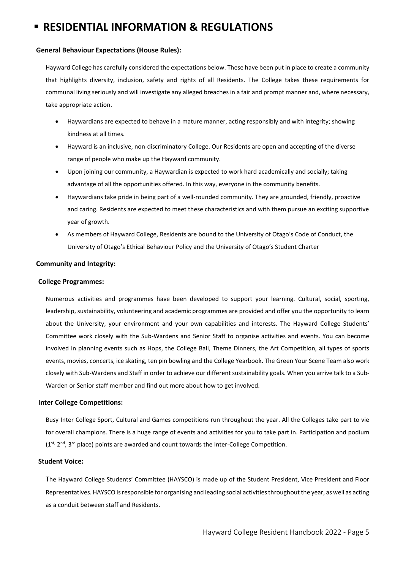# <span id="page-5-0"></span>**RESIDENTIAL INFORMATION & REGULATIONS**

#### <span id="page-5-1"></span>**General Behaviour Expectations (House Rules):**

Hayward College has carefully considered the expectations below. These have been put in place to create a community that highlights diversity, inclusion, safety and rights of all Residents. The College takes these requirements for communal living seriously and will investigate any alleged breaches in a fair and prompt manner and, where necessary, take appropriate action.

- Haywardians are expected to behave in a mature manner, acting responsibly and with integrity; showing kindness at all times.
- Hayward is an inclusive, non-discriminatory College. Our Residents are open and accepting of the diverse range of people who make up the Hayward community.
- Upon joining our community, a Haywardian is expected to work hard academically and socially; taking advantage of all the opportunities offered. In this way, everyone in the community benefits.
- Haywardians take pride in being part of a well-rounded community. They are grounded, friendly, proactive and caring. Residents are expected to meet these characteristics and with them pursue an exciting supportive year of growth.
- As members of Hayward College, Residents are bound to the University of Otago's Code of Conduct, the University of Otago's Ethical Behaviour Policy and the University of Otago's Student Charter

#### <span id="page-5-2"></span>**Community and Integrity:**

#### <span id="page-5-3"></span>**College Programmes:**

Numerous activities and programmes have been developed to support your learning. Cultural, social, sporting, leadership, sustainability, volunteering and academic programmes are provided and offer you the opportunity to learn about the University, your environment and your own capabilities and interests. The Hayward College Students' Committee work closely with the Sub-Wardens and Senior Staff to organise activities and events. You can become involved in planning events such as Hops, the College Ball, Theme Dinners, the Art Competition, all types of sports events, movies, concerts, ice skating, ten pin bowling and the College Yearbook. The Green Your Scene Team also work closely with Sub-Wardens and Staff in order to achieve our different sustainability goals. When you arrive talk to a Sub-Warden or Senior staff member and find out more about how to get involved.

#### <span id="page-5-4"></span>**Inter College Competitions:**

Busy Inter College Sport, Cultural and Games competitions run throughout the year. All the Colleges take part to vie for overall champions. There is a huge range of events and activities for you to take part in. Participation and podium  $(1^{st} 2^{nd} 1^{rd} 1^{nd})$  place) points are awarded and count towards the Inter-College Competition.

#### <span id="page-5-5"></span>**Student Voice:**

The Hayward College Students' Committee (HAYSCO) is made up of the Student President, Vice President and Floor Representatives. HAYSCO is responsible for organising and leading social activities throughout the year, as well as acting as a conduit between staff and Residents.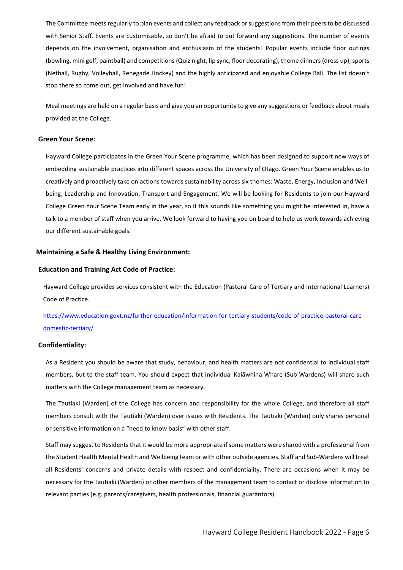The Committee meets regularly to plan events and collect any feedback or suggestions from their peers to be discussed with Senior Staff. Events are customisable, so don't be afraid to put forward any suggestions. The number of events depends on the involvement, organisation and enthusiasm of the students! Popular events include floor outings (bowling, mini golf, paintball) and competitions (Quiz night, lip sync, floor decorating), theme dinners (dress up), sports (Netball, Rugby, Volleyball, Renegade Hockey) and the highly anticipated and enjoyable College Ball. The list doesn't stop there so come out, get involved and have fun!

Meal meetings are held on a regular basis and give you an opportunity to give any suggestions or feedback about meals provided at the College.

#### <span id="page-6-0"></span>**Green Your Scene:**

Hayward College participates in the Green Your Scene programme, which has been designed to support new ways of embedding sustainable practices into different spaces across the University of Otago. Green Your Scene enables us to creatively and proactively take on actions towards sustainability across six themes: Waste, Energy, Inclusion and Wellbeing, Leadership and Innovation, Transport and Engagement. We will be looking for Residents to join our Hayward College Green Your Scene Team early in the year, so if this sounds like something you might be interested in, have a talk to a member of staff when you arrive. We look forward to having you on board to help us work towards achieving our different sustainable goals.

#### <span id="page-6-1"></span>**Maintaining a Safe & Healthy Living Environment:**

#### <span id="page-6-2"></span>**Education and Training Act Code of Practice:**

Hayward College provides services consistent with the Education (Pastoral Care of Tertiary and International Learners) Code of Practice.

[https://www.education.govt.nz/further-education/information-for-tertiary-students/code-of-practice-pastoral-care](https://www.education.govt.nz/further-education/information-for-tertiary-students/code-of-practice-pastoral-care-domestic-tertiary/)[domestic-tertiary/](https://www.education.govt.nz/further-education/information-for-tertiary-students/code-of-practice-pastoral-care-domestic-tertiary/) 

#### <span id="page-6-3"></span>**Confidentiality:**

As a Resident you should be aware that study, behaviour, and health matters are not confidential to individual staff members, but to the staff team. You should expect that individual Kaiāwhina Whare (Sub-Wardens) will share such matters with the College management team as necessary.

The Tautiaki (Warden) of the College has concern and responsibility for the whole College, and therefore all staff members consult with the Tautiaki (Warden) over issues with Residents. The Tautiaki (Warden) only shares personal or sensitive information on a "need to know basis" with other staff.

Staff may suggest to Residents that it would be more appropriate if some matters were shared with a professional from the Student Health Mental Health and Wellbeing team or with other outside agencies. Staff and Sub-Wardens will treat all Residents' concerns and private details with respect and confidentiality. There are occasions when it may be necessary for the Tautiaki (Warden) or other members of the management team to contact or disclose information to relevant parties (e.g. parents/caregivers, health professionals, financial guarantors).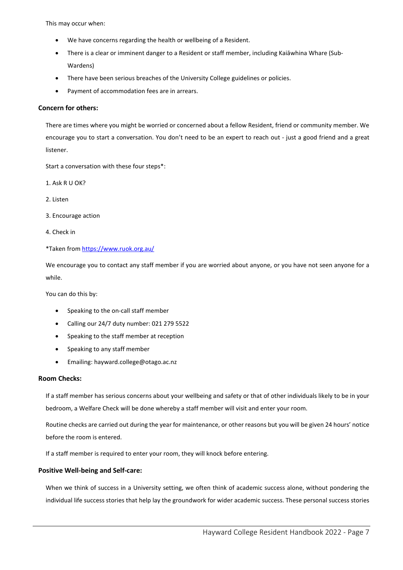This may occur when:

- We have concerns regarding the health or wellbeing of a Resident.
- There is a clear or imminent danger to a Resident or staff member, including Kaiāwhina Whare (Sub-Wardens)
- There have been serious breaches of the University College guidelines or policies.
- Payment of accommodation fees are in arrears.

#### <span id="page-7-0"></span>**Concern for others:**

There are times where you might be worried or concerned about a fellow Resident, friend or community member. We encourage you to start a conversation. You don't need to be an expert to reach out - just a good friend and a great listener.

Start a conversation with these four steps\*:

1. Ask R U OK?

- 2. Listen
- 3. Encourage action
- 4. Check in

\*Taken from<https://www.ruok.org.au/>

We encourage you to contact any staff member if you are worried about anyone, or you have not seen anyone for a while.

You can do this by:

- Speaking to the on-call staff member
- Calling our 24/7 duty number: 021 279 5522
- Speaking to the staff member at reception
- Speaking to any staff member
- Emailing: hayward.college@otago.ac.nz

#### <span id="page-7-1"></span>**Room Checks:**

If a staff member has serious concerns about your wellbeing and safety or that of other individuals likely to be in your bedroom, a Welfare Check will be done whereby a staff member will visit and enter your room.

Routine checks are carried out during the year for maintenance, or other reasons but you will be given 24 hours' notice before the room is entered.

If a staff member is required to enter your room, they will knock before entering.

#### <span id="page-7-2"></span>**Positive Well-being and Self-care:**

When we think of success in a University setting, we often think of academic success alone, without pondering the individual life success stories that help lay the groundwork for wider academic success. These personal success stories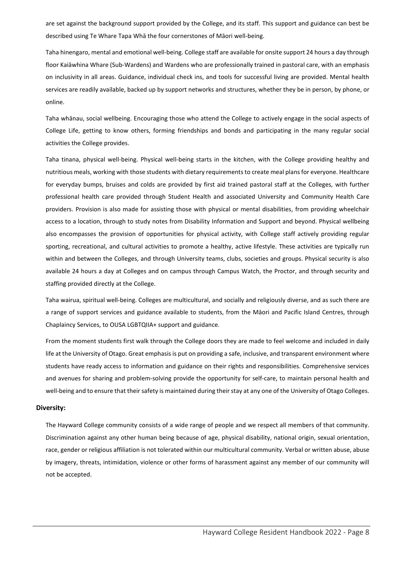are set against the background support provided by the College, and its staff. This support and guidance can best be described using Te Whare Tapa Whā the four cornerstones of Māori well-being.

Taha hinengaro, mental and emotional well-being. College staff are available for onsite support 24 hours a day through floor Kaiāwhina Whare (Sub-Wardens) and Wardens who are professionally trained in pastoral care, with an emphasis on inclusivity in all areas. Guidance, individual check ins, and tools for successful living are provided. Mental health services are readily available, backed up by support networks and structures, whether they be in person, by phone, or online.

Taha whānau, social wellbeing. Encouraging those who attend the College to actively engage in the social aspects of College Life, getting to know others, forming friendships and bonds and participating in the many regular social activities the College provides.

Taha tinana, physical well-being. Physical well-being starts in the kitchen, with the College providing healthy and nutritious meals, working with those students with dietary requirements to create meal plans for everyone. Healthcare for everyday bumps, bruises and colds are provided by first aid trained pastoral staff at the Colleges, with further professional health care provided through Student Health and associated University and Community Health Care providers. Provision is also made for assisting those with physical or mental disabilities, from providing wheelchair access to a location, through to study notes from Disability Information and Support and beyond. Physical wellbeing also encompasses the provision of opportunities for physical activity, with College staff actively providing regular sporting, recreational, and cultural activities to promote a healthy, active lifestyle. These activities are typically run within and between the Colleges, and through University teams, clubs, societies and groups. Physical security is also available 24 hours a day at Colleges and on campus through Campus Watch, the Proctor, and through security and staffing provided directly at the College.

Taha wairua, spiritual well-being. Colleges are multicultural, and socially and religiously diverse, and as such there are a range of support services and guidance available to students, from the Māori and Pacific Island Centres, through Chaplaincy Services, to OUSA LGBTQIIA+ support and guidance.

From the moment students first walk through the College doors they are made to feel welcome and included in daily life at the University of Otago. Great emphasis is put on providing a safe, inclusive, and transparent environment where students have ready access to information and guidance on their rights and responsibilities. Comprehensive services and avenues for sharing and problem-solving provide the opportunity for self-care, to maintain personal health and well-being and to ensure that their safety is maintained during their stay at any one of the University of Otago Colleges.

#### <span id="page-8-0"></span>**Diversity:**

The Hayward College community consists of a wide range of people and we respect all members of that community. Discrimination against any other human being because of age, physical disability, national origin, sexual orientation, race, gender or religious affiliation is not tolerated within our multicultural community. Verbal or written abuse, abuse by imagery, threats, intimidation, violence or other forms of harassment against any member of our community will not be accepted.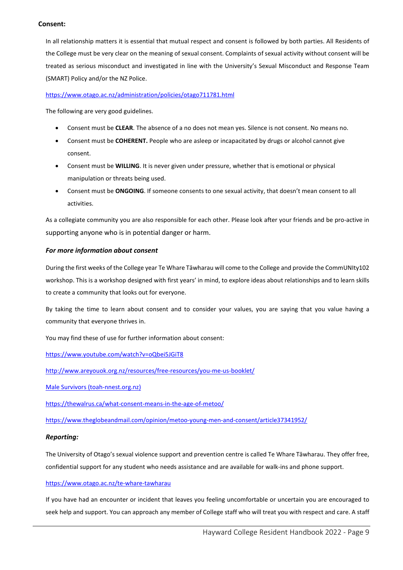#### <span id="page-9-0"></span>**Consent:**

In all relationship matters it is essential that mutual respect and consent is followed by both parties. All Residents of the College must be very clear on the meaning of sexual consent. Complaints of sexual activity without consent will be treated as serious misconduct and investigated in line with the University's Sexual Misconduct and Response Team (SMART) Policy and/or the NZ Police.

#### <https://www.otago.ac.nz/administration/policies/otago711781.html>

The following are very good guidelines.

- Consent must be **CLEAR**. The absence of a no does not mean yes. Silence is not consent. No means no.
- Consent must be **COHERENT.** People who are asleep or incapacitated by drugs or alcohol cannot give consent.
- Consent must be **WILLING**. It is never given under pressure, whether that is emotional or physical manipulation or threats being used.
- Consent must be **ONGOING**. If someone consents to one sexual activity, that doesn't mean consent to all activities.

As a collegiate community you are also responsible for each other. Please look after your friends and be pro-active in supporting anyone who is in potential danger or harm.

#### *For more information about consent*

During the first weeks of the College year Te Whare Tāwharau will come to the College and provide the CommUNIty102 workshop. This is a workshop designed with first years' in mind, to explore ideas about relationships and to learn skills to create a community that looks out for everyone.

By taking the time to learn about consent and to consider your values, you are saying that you value having a community that everyone thrives in.

You may find these of use for further information about consent:

<https://www.youtube.com/watch?v=oQbei5JGiT8>

<http://www.areyouok.org.nz/resources/free-resources/you-me-us-booklet/>

[Male Survivors \(toah-nnest.org.nz\)](https://toah-nnest.org.nz/what-is-sexual-violence/male-survivors)

<https://thewalrus.ca/what-consent-means-in-the-age-of-metoo/>

<https://www.theglobeandmail.com/opinion/metoo-young-men-and-consent/article37341952/>

#### *Reporting:*

The University of Otago's sexual violence support and prevention centre is called Te Whare Tāwharau. They offer free, confidential support for any student who needs assistance and are available for walk-ins and phone support.

#### <https://www.otago.ac.nz/te-whare-tawharau>

If you have had an encounter or incident that leaves you feeling uncomfortable or uncertain you are encouraged to seek help and support. You can approach any member of College staff who will treat you with respect and care. A staff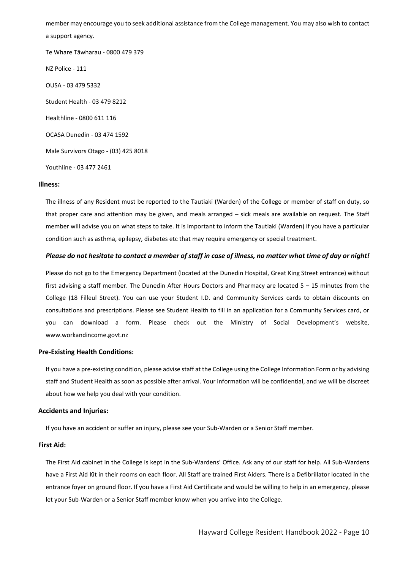member may encourage you to seek additional assistance from the College management. You may also wish to contact a support agency. Te Whare Tāwharau - 0800 479 379

NZ Police - 111 OUSA - 03 479 5332

Student Health - 03 479 8212

Healthline - 0800 611 116

OCASA Dunedin - 03 474 1592

Male Survivors Otago - (03) 425 8018

Youthline - 03 477 2461

#### <span id="page-10-0"></span>**Illness:**

The illness of any Resident must be reported to the Tautiaki (Warden) of the College or member of staff on duty, so that proper care and attention may be given, and meals arranged – sick meals are available on request. The Staff member will advise you on what steps to take. It is important to inform the Tautiaki (Warden) if you have a particular condition such as asthma, epilepsy, diabetes etc that may require emergency or special treatment.

#### *Please do not hesitate to contact a member of staff in case of illness, no matter what time of day or night!*

Please do not go to the Emergency Department (located at the Dunedin Hospital, Great King Street entrance) without first advising a staff member. The Dunedin After Hours Doctors and Pharmacy are located 5 – 15 minutes from the College (18 Filleul Street). You can use your Student I.D. and Community Services cards to obtain discounts on consultations and prescriptions. Please see Student Health to fill in an application for a Community Services card, or you can download a form. Please check out the Ministry of Social Development's website, [www.workandincome.govt.nz](http://www.workandincome.govt.nz/)

#### <span id="page-10-1"></span>**Pre-Existing Health Conditions:**

If you have a pre-existing condition, please advise staff at the College using the College Information Form or by advising staff and Student Health as soon as possible after arrival. Your information will be confidential, and we will be discreet about how we help you deal with your condition.

#### <span id="page-10-2"></span>**Accidents and Injuries:**

If you have an accident or suffer an injury, please see your Sub-Warden or a Senior Staff member.

#### <span id="page-10-3"></span>**First Aid:**

The First Aid cabinet in the College is kept in the Sub-Wardens' Office. Ask any of our staff for help. All Sub-Wardens have a First Aid Kit in their rooms on each floor. All Staff are trained First Aiders. There is a Defibrillator located in the entrance foyer on ground floor. If you have a First Aid Certificate and would be willing to help in an emergency, please let your Sub-Warden or a Senior Staff member know when you arrive into the College.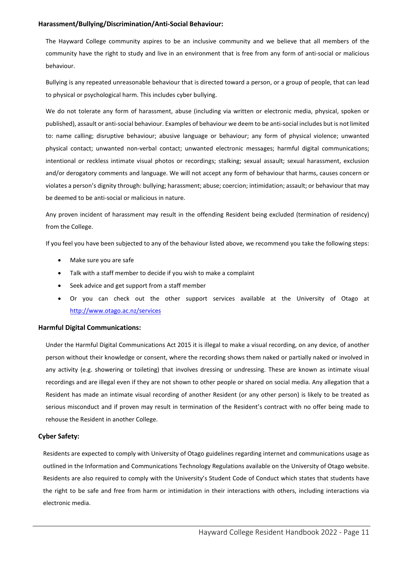#### <span id="page-11-0"></span>**Harassment/Bullying/Discrimination/Anti-Social Behaviour:**

The Hayward College community aspires to be an inclusive community and we believe that all members of the community have the right to study and live in an environment that is free from any form of anti-social or malicious behaviour.

Bullying is any repeated unreasonable behaviour that is directed toward a person, or a group of people, that can lead to physical or psychological harm. This includes cyber bullying.

We do not tolerate any form of harassment, abuse (including via written or electronic media, physical, spoken or published), assault or anti-social behaviour. Examples of behaviour we deem to be anti-social includes but is not limited to: name calling; disruptive behaviour; abusive language or behaviour; any form of physical violence; unwanted physical contact; unwanted non-verbal contact; unwanted electronic messages; harmful digital communications; intentional or reckless intimate visual photos or recordings; stalking; sexual assault; sexual harassment, exclusion and/or derogatory comments and language. We will not accept any form of behaviour that harms, causes concern or violates a person's dignity through: bullying; harassment; abuse; coercion; intimidation; assault; or behaviour that may be deemed to be anti-social or malicious in nature.

Any proven incident of harassment may result in the offending Resident being excluded (termination of residency) from the College.

If you feel you have been subjected to any of the behaviour listed above, we recommend you take the following steps:

- Make sure you are safe
- Talk with a staff member to decide if you wish to make a complaint
- Seek advice and get support from a staff member
- Or you can check out the other support services available at the University of Otago at <http://www.otago.ac.nz/services>

#### <span id="page-11-1"></span>**Harmful Digital Communications:**

Under the Harmful Digital Communications Act 2015 it is illegal to make a visual recording, on any device, of another person without their knowledge or consent, where the recording shows them naked or partially naked or involved in any activity (e.g. showering or toileting) that involves dressing or undressing. These are known as intimate visual recordings and are illegal even if they are not shown to other people or shared on social media. Any allegation that a Resident has made an intimate visual recording of another Resident (or any other person) is likely to be treated as serious misconduct and if proven may result in termination of the Resident's contract with no offer being made to rehouse the Resident in another College.

#### <span id="page-11-2"></span>**Cyber Safety:**

Residents are expected to comply with University of Otago guidelines regarding internet and communications usage as outlined in the Information and Communications Technology Regulations available on the University of Otago website. Residents are also required to comply with the University's Student Code of Conduct which states that students have the right to be safe and free from harm or intimidation in their interactions with others, including interactions via electronic media.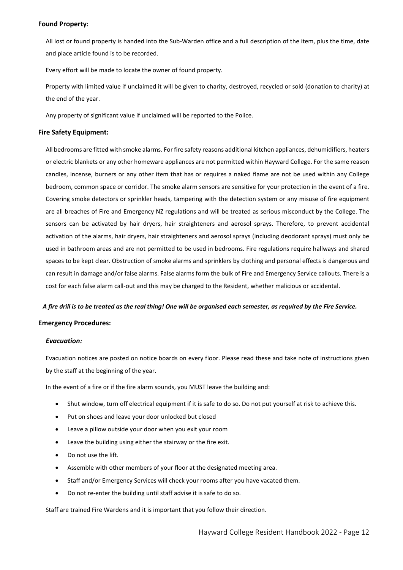#### <span id="page-12-0"></span>**Found Property:**

All lost or found property is handed into the Sub-Warden office and a full description of the item, plus the time, date and place article found is to be recorded.

Every effort will be made to locate the owner of found property.

Property with limited value if unclaimed it will be given to charity, destroyed, recycled or sold (donation to charity) at the end of the year.

Any property of significant value if unclaimed will be reported to the Police.

#### <span id="page-12-1"></span>**Fire Safety Equipment:**

All bedrooms are fitted with smoke alarms. For fire safety reasons additional kitchen appliances, dehumidifiers, heaters or electric blankets or any other homeware appliances are not permitted within Hayward College. For the same reason candles, incense, burners or any other item that has or requires a naked flame are not be used within any College bedroom, common space or corridor. The smoke alarm sensors are sensitive for your protection in the event of a fire. Covering smoke detectors or sprinkler heads, tampering with the detection system or any misuse of fire equipment are all breaches of Fire and Emergency NZ regulations and will be treated as serious misconduct by the College. The sensors can be activated by hair dryers, hair straighteners and aerosol sprays. Therefore, to prevent accidental activation of the alarms, hair dryers, hair straighteners and aerosol sprays (including deodorant sprays) must only be used in bathroom areas and are not permitted to be used in bedrooms. Fire regulations require hallways and shared spaces to be kept clear. Obstruction of smoke alarms and sprinklers by clothing and personal effects is dangerous and can result in damage and/or false alarms. False alarms form the bulk of Fire and Emergency Service callouts. There is a cost for each false alarm call-out and this may be charged to the Resident, whether malicious or accidental.

#### *A fire drill is to be treated as the real thing! One will be organised each semester, as required by the Fire Service.*

#### <span id="page-12-2"></span>**Emergency Procedures:**

#### *Evacuation:*

Evacuation notices are posted on notice boards on every floor. Please read these and take note of instructions given by the staff at the beginning of the year.

In the event of a fire or if the fire alarm sounds, you MUST leave the building and:

- Shut window, turn off electrical equipment if it is safe to do so. Do not put yourself at risk to achieve this.
- Put on shoes and leave your door unlocked but closed
- Leave a pillow outside your door when you exit your room
- Leave the building using either the stairway or the fire exit.
- Do not use the lift.
- Assemble with other members of your floor at the designated meeting area.
- Staff and/or Emergency Services will check your rooms after you have vacated them.
- Do not re-enter the building until staff advise it is safe to do so.

Staff are trained Fire Wardens and it is important that you follow their direction.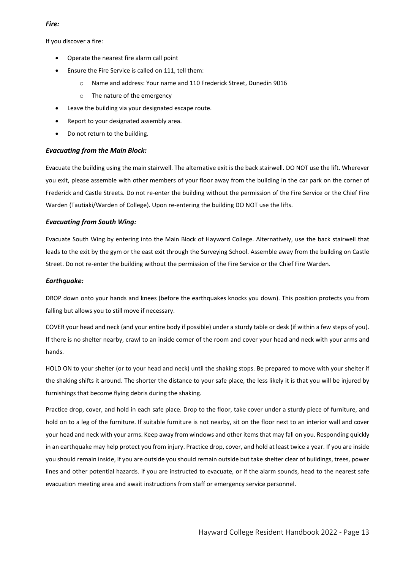#### *Fire:*

If you discover a fire:

- Operate the nearest fire alarm call point
- Ensure the Fire Service is called on 111, tell them:
	- o Name and address: Your name and 110 Frederick Street, Dunedin 9016
	- o The nature of the emergency
- Leave the building via your designated escape route.
- Report to your designated assembly area.
- Do not return to the building.

#### *Evacuating from the Main Block:*

Evacuate the building using the main stairwell. The alternative exit is the back stairwell. DO NOT use the lift. Wherever you exit, please assemble with other members of your floor away from the building in the car park on the corner of Frederick and Castle Streets. Do not re-enter the building without the permission of the Fire Service or the Chief Fire Warden (Tautiaki/Warden of College). Upon re-entering the building DO NOT use the lifts.

#### *Evacuating from South Wing:*

Evacuate South Wing by entering into the Main Block of Hayward College. Alternatively, use the back stairwell that leads to the exit by the gym or the east exit through the Surveying School. Assemble away from the building on Castle Street. Do not re-enter the building without the permission of the Fire Service or the Chief Fire Warden.

#### *Earthquake:*

DROP down onto your hands and knees (before the earthquakes knocks you down). This position protects you from falling but allows you to still move if necessary.

COVER your head and neck (and your entire body if possible) under a sturdy table or desk (if within a few steps of you). If there is no shelter nearby, crawl to an inside corner of the room and cover your head and neck with your arms and hands.

HOLD ON to your shelter (or to your head and neck) until the shaking stops. Be prepared to move with your shelter if the shaking shifts it around. The shorter the distance to your safe place, the less likely it is that you will be injured by furnishings that become flying debris during the shaking.

Practice drop, cover, and hold in each safe place. Drop to the floor, take cover under a sturdy piece of furniture, and hold on to a leg of the furniture. If suitable furniture is not nearby, sit on the floor next to an interior wall and cover your head and neck with your arms. Keep away from windows and other items that may fall on you. Responding quickly in an earthquake may help protect you from injury. Practice drop, cover, and hold at least twice a year. If you are inside you should remain inside, if you are outside you should remain outside but take shelter clear of buildings, trees, power lines and other potential hazards. If you are instructed to evacuate, or if the alarm sounds, head to the nearest safe evacuation meeting area and await instructions from staff or emergency service personnel.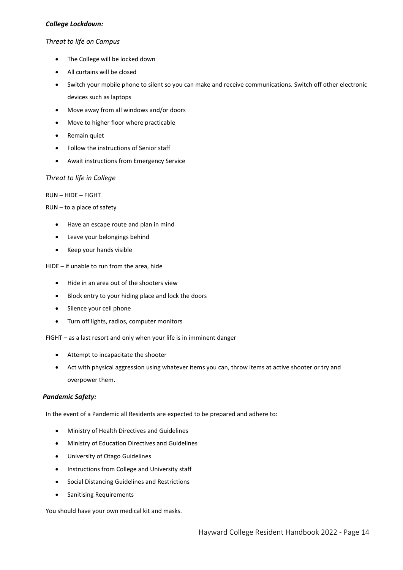#### *College Lockdown:*

#### *Threat to life on Campus*

- The College will be locked down
- All curtains will be closed
- Switch your mobile phone to silent so you can make and receive communications. Switch off other electronic devices such as laptops
- Move away from all windows and/or doors
- Move to higher floor where practicable
- Remain quiet
- Follow the instructions of Senior staff
- Await instructions from Emergency Service

#### *Threat to life in College*

#### RUN – HIDE – FIGHT

#### RUN – to a place of safety

- Have an escape route and plan in mind
- Leave your belongings behind
- Keep your hands visible

#### HIDE – if unable to run from the area, hide

- Hide in an area out of the shooters view
- Block entry to your hiding place and lock the doors
- Silence your cell phone
- Turn off lights, radios, computer monitors

FIGHT – as a last resort and only when your life is in imminent danger

- Attempt to incapacitate the shooter
- Act with physical aggression using whatever items you can, throw items at active shooter or try and overpower them.

#### *Pandemic Safety:*

In the event of a Pandemic all Residents are expected to be prepared and adhere to:

- Ministry of Health Directives and Guidelines
- Ministry of Education Directives and Guidelines
- University of Otago Guidelines
- Instructions from College and University staff
- Social Distancing Guidelines and Restrictions
- Sanitising Requirements

You should have your own medical kit and masks.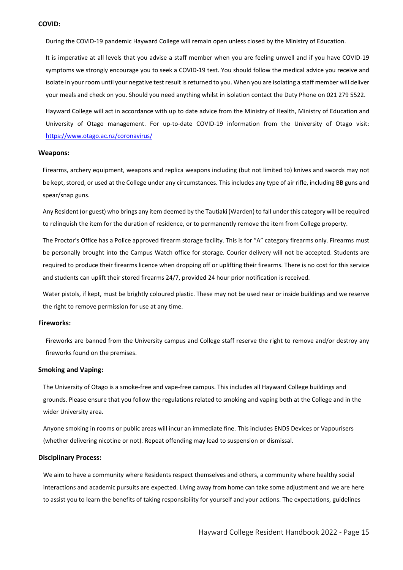#### <span id="page-15-0"></span>**COVID:**

During the COVID-19 pandemic Hayward College will remain open unless closed by the Ministry of Education.

It is imperative at all levels that you advise a staff member when you are feeling unwell and if you have COVID-19 symptoms we strongly encourage you to seek a COVID-19 test. You should follow the medical advice you receive and isolate in your room until your negative test result is returned to you. When you are isolating a staff member will deliver your meals and check on you. Should you need anything whilst in isolation contact the Duty Phone on 021 279 5522.

Hayward College will act in accordance with up to date advice from the Ministry of Health, Ministry of Education and University of Otago management. For up-to-date COVID-19 information from the University of Otago visit: <https://www.otago.ac.nz/coronavirus/>

#### <span id="page-15-1"></span>**Weapons:**

Firearms, archery equipment, weapons and replica weapons including (but not limited to) knives and swords may not be kept, stored, or used at the College under any circumstances. This includes any type of air rifle, including BB guns and spear/snap guns.

Any Resident (or guest) who brings any item deemed by the Tautiaki (Warden) to fall under this category will be required to relinquish the item for the duration of residence, or to permanently remove the item from College property.

The Proctor's Office has a Police approved firearm storage facility. This is for "A" category firearms only. Firearms must be personally brought into the Campus Watch office for storage. Courier delivery will not be accepted. Students are required to produce their firearms licence when dropping off or uplifting their firearms. There is no cost for this service and students can uplift their stored firearms 24/7, provided 24 hour prior notification is received.

Water pistols, if kept, must be brightly coloured plastic. These may not be used near or inside buildings and we reserve the right to remove permission for use at any time.

#### <span id="page-15-2"></span>**Fireworks:**

Fireworks are banned from the University campus and College staff reserve the right to remove and/or destroy any fireworks found on the premises.

#### <span id="page-15-3"></span>**Smoking and Vaping:**

The University of Otago is a smoke-free and vape-free campus. This includes all Hayward College buildings and grounds. Please ensure that you follow the regulations related to smoking and vaping both at the College and in the wider University area.

Anyone smoking in rooms or public areas will incur an immediate fine. This includes ENDS Devices or Vapourisers (whether delivering nicotine or not). Repeat offending may lead to suspension or dismissal.

#### <span id="page-15-4"></span>**Disciplinary Process:**

We aim to have a community where Residents respect themselves and others, a community where healthy social interactions and academic pursuits are expected. Living away from home can take some adjustment and we are here to assist you to learn the benefits of taking responsibility for yourself and your actions. The expectations, guidelines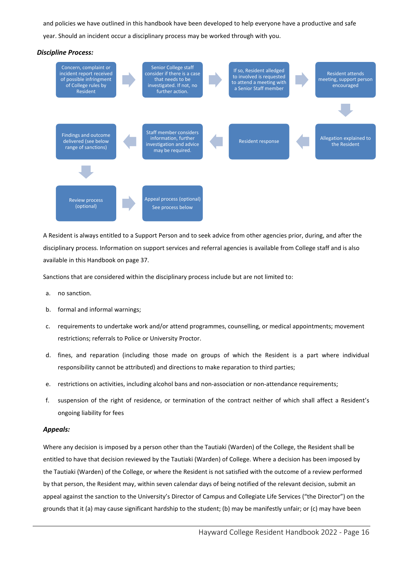and policies we have outlined in this handbook have been developed to help everyone have a productive and safe year. Should an incident occur a disciplinary process may be worked through with you.



A Resident is always entitled to a Support Person and to seek advice from other agencies prior, during, and after the disciplinary process. Information on support services and referral agencies is available from College staff and is also available in this Handbook on page 37.

Sanctions that are considered within the disciplinary process include but are not limited to:

- a. no sanction.
- b. formal and informal warnings;
- c. requirements to undertake work and/or attend programmes, counselling, or medical appointments; movement restrictions; referrals to Police or University Proctor.
- d. fines, and reparation (including those made on groups of which the Resident is a part where individual responsibility cannot be attributed) and directions to make reparation to third parties;
- e. restrictions on activities, including alcohol bans and non-association or non-attendance requirements;
- f. suspension of the right of residence, or termination of the contract neither of which shall affect a Resident's ongoing liability for fees

#### *Appeals:*

Where any decision is imposed by a person other than the Tautiaki (Warden) of the College, the Resident shall be entitled to have that decision reviewed by the Tautiaki (Warden) of College. Where a decision has been imposed by the Tautiaki (Warden) of the College, or where the Resident is not satisfied with the outcome of a review performed by that person, the Resident may, within seven calendar days of being notified of the relevant decision, submit an appeal against the sanction to the University's Director of Campus and Collegiate Life Services ("the Director") on the grounds that it (a) may cause significant hardship to the student; (b) may be manifestly unfair; or (c) may have been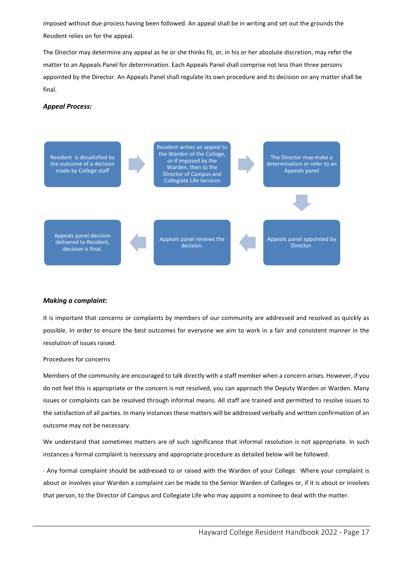imposed without due process having been followed. An appeal shall be in writing and set out the grounds the Resident relies on for the appeal.

The Director may determine any appeal as he or she thinks fit, or, in his or her absolute discretion, may refer the matter to an Appeals Panel for determination. Each Appeals Panel shall comprise not less than three persons appointed by the Director. An Appeals Panel shall regulate its own procedure and its decision on any matter shall be final.

#### *Appeal Process:*



#### *Making a complaint:*

<span id="page-17-0"></span>It is important that concerns or complaints by members of our community are addressed and resolved as quickly as possible. In order to ensure the best outcomes for everyone we aim to work in a fair and consistent manner in the resolution of issues raised.

#### Procedures for concerns

Members of the community are encouraged to talk directly with a staff member when a concern arises. However, if you do not feel this is appropriate or the concern is not resolved, you can approach the Deputy Warden or Warden. Many issues or complaints can be resolved through informal means. All staff are trained and permitted to resolve issues to the satisfaction of all parties. In many instances these matters will be addressed verbally and written confirmation of an outcome may not be necessary.

We understand that sometimes matters are of such significance that informal resolution is not appropriate. In such instances a formal complaint is necessary and appropriate procedure as detailed below will be followed.

· Any formal complaint should be addressed to or raised with the Warden of your College. Where your complaint is about or involves your Warden a complaint can be made to the Senior Warden of Colleges or, if it is about or involves that person, to the Director of Campus and Collegiate Life who may appoint a nominee to deal with the matter.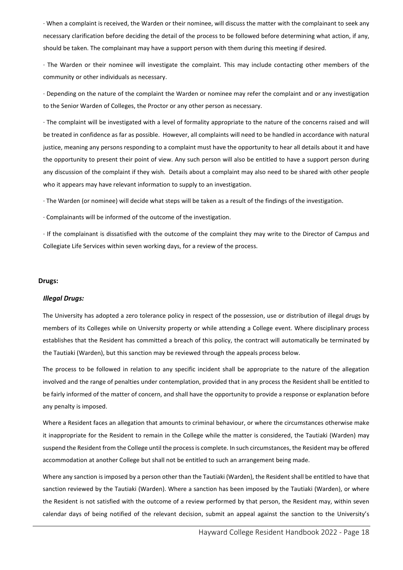· When a complaint is received, the Warden or their nominee, will discuss the matter with the complainant to seek any necessary clarification before deciding the detail of the process to be followed before determining what action, if any, should be taken. The complainant may have a support person with them during this meeting if desired.

· The Warden or their nominee will investigate the complaint. This may include contacting other members of the community or other individuals as necessary.

· Depending on the nature of the complaint the Warden or nominee may refer the complaint and or any investigation to the Senior Warden of Colleges, the Proctor or any other person as necessary.

· The complaint will be investigated with a level of formality appropriate to the nature of the concerns raised and will be treated in confidence as far as possible. However, all complaints will need to be handled in accordance with natural justice, meaning any persons responding to a complaint must have the opportunity to hear all details about it and have the opportunity to present their point of view. Any such person will also be entitled to have a support person during any discussion of the complaint if they wish. Details about a complaint may also need to be shared with other people who it appears may have relevant information to supply to an investigation.

· The Warden (or nominee) will decide what steps will be taken as a result of the findings of the investigation.

· Complainants will be informed of the outcome of the investigation.

· If the complainant is dissatisfied with the outcome of the complaint they may write to the Director of Campus and Collegiate Life Services within seven working days, for a review of the process.

#### **Drugs:**

#### *Illegal Drugs:*

The University has adopted a zero tolerance policy in respect of the possession, use or distribution of illegal drugs by members of its Colleges while on University property or while attending a College event. Where disciplinary process establishes that the Resident has committed a breach of this policy, the contract will automatically be terminated by the Tautiaki (Warden), but this sanction may be reviewed through the appeals process below.

The process to be followed in relation to any specific incident shall be appropriate to the nature of the allegation involved and the range of penalties under contemplation, provided that in any process the Resident shall be entitled to be fairly informed of the matter of concern, and shall have the opportunity to provide a response or explanation before any penalty is imposed.

Where a Resident faces an allegation that amounts to criminal behaviour, or where the circumstances otherwise make it inappropriate for the Resident to remain in the College while the matter is considered, the Tautiaki (Warden) may suspend the Resident from the College until the process is complete. In such circumstances, the Resident may be offered accommodation at another College but shall not be entitled to such an arrangement being made.

Where any sanction is imposed by a person other than the Tautiaki (Warden), the Resident shall be entitled to have that sanction reviewed by the Tautiaki (Warden). Where a sanction has been imposed by the Tautiaki (Warden), or where the Resident is not satisfied with the outcome of a review performed by that person, the Resident may, within seven calendar days of being notified of the relevant decision, submit an appeal against the sanction to the University's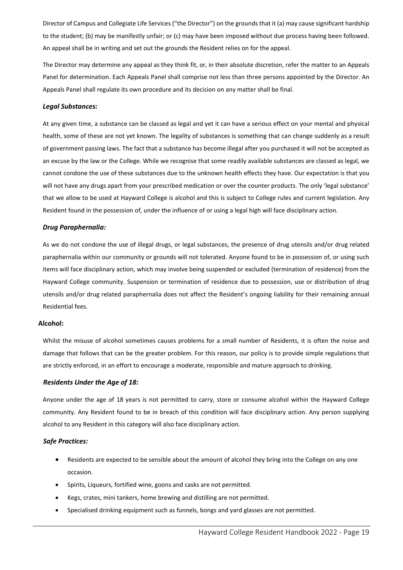Director of Campus and Collegiate Life Services ("the Director") on the grounds that it (a) may cause significant hardship to the student; (b) may be manifestly unfair; or (c) may have been imposed without due process having been followed. An appeal shall be in writing and set out the grounds the Resident relies on for the appeal.

The Director may determine any appeal as they think fit, or, in their absolute discretion, refer the matter to an Appeals Panel for determination. Each Appeals Panel shall comprise not less than three persons appointed by the Director. An Appeals Panel shall regulate its own procedure and its decision on any matter shall be final.

#### *Legal Substances:*

At any given time, a substance can be classed as legal and yet it can have a serious effect on your mental and physical health, some of these are not yet known. The legality of substances is something that can change suddenly as a result of government passing laws. The fact that a substance has become illegal after you purchased it will not be accepted as an excuse by the law or the College. While we recognise that some readily available substances are classed as legal, we cannot condone the use of these substances due to the unknown health effects they have. Our expectation is that you will not have any drugs apart from your prescribed medication or over the counter products. The only 'legal substance' that we allow to be used at Hayward College is alcohol and this is subject to College rules and current legislation. Any Resident found in the possession of, under the influence of or using a legal high will face disciplinary action.

#### *Drug Paraphernalia:*

As we do not condone the use of illegal drugs, or legal substances, the presence of drug utensils and/or drug related paraphernalia within our community or grounds will not tolerated. Anyone found to be in possession of, or using such items will face disciplinary action, which may involve being suspended or excluded (termination of residence) from the Hayward College community. Suspension or termination of residence due to possession, use or distribution of drug utensils and/or drug related paraphernalia does not affect the Resident's ongoing liability for their remaining annual Residential fees.

#### <span id="page-19-0"></span>**Alcohol:**

Whilst the misuse of alcohol sometimes causes problems for a small number of Residents, it is often the noise and damage that follows that can be the greater problem. For this reason, our policy is to provide simple regulations that are strictly enforced, in an effort to encourage a moderate, responsible and mature approach to drinking.

#### *Residents Under the Age of 18:*

Anyone under the age of 18 years is not permitted to carry, store or consume alcohol within the Hayward College community. Any Resident found to be in breach of this condition will face disciplinary action. Any person supplying alcohol to any Resident in this category will also face disciplinary action.

#### *Safe Practices:*

- Residents are expected to be sensible about the amount of alcohol they bring into the College on any one occasion.
- Spirits, Liqueurs, fortified wine, goons and casks are not permitted.
- Kegs, crates, mini tankers, home brewing and distilling are not permitted.
- Specialised drinking equipment such as funnels, bongs and yard glasses are not permitted.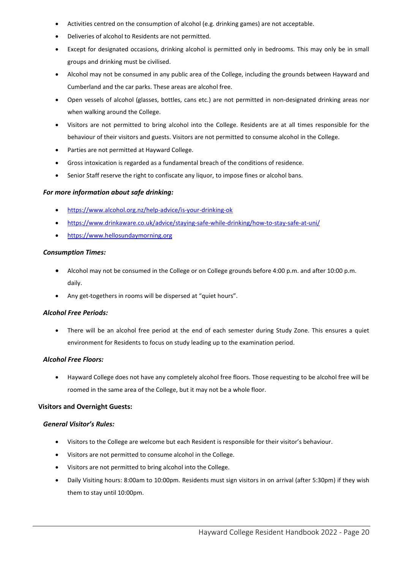- Activities centred on the consumption of alcohol (e.g. drinking games) are not acceptable.
- Deliveries of alcohol to Residents are not permitted.
- Except for designated occasions, drinking alcohol is permitted only in bedrooms. This may only be in small groups and drinking must be civilised.
- Alcohol may not be consumed in any public area of the College, including the grounds between Hayward and Cumberland and the car parks. These areas are alcohol free.
- Open vessels of alcohol (glasses, bottles, cans etc.) are not permitted in non-designated drinking areas nor when walking around the College.
- Visitors are not permitted to bring alcohol into the College. Residents are at all times responsible for the behaviour of their visitors and guests. Visitors are not permitted to consume alcohol in the College.
- Parties are not permitted at Hayward College.
- Gross intoxication is regarded as a fundamental breach of the conditions of residence.
- Senior Staff reserve the right to confiscate any liquor, to impose fines or alcohol bans.

#### *For more information about safe drinking:*

- <https://www.alcohol.org.nz/help-advice/is-your-drinking-ok>
- <https://www.drinkaware.co.uk/advice/staying-safe-while-drinking/how-to-stay-safe-at-uni/>
- [https://www.hellosundaymorning.org](https://www.hellosundaymorning.org/)

#### *Consumption Times:*

- Alcohol may not be consumed in the College or on College grounds before 4:00 p.m. and after 10:00 p.m. daily.
- Any get-togethers in rooms will be dispersed at "quiet hours".

#### *Alcohol Free Periods:*

• There will be an alcohol free period at the end of each semester during Study Zone. This ensures a quiet environment for Residents to focus on study leading up to the examination period.

#### *Alcohol Free Floors:*

• Hayward College does not have any completely alcohol free floors. Those requesting to be alcohol free will be roomed in the same area of the College, but it may not be a whole floor.

#### <span id="page-20-0"></span>**Visitors and Overnight Guests:**

#### *General Visitor's Rules:*

- Visitors to the College are welcome but each Resident is responsible for their visitor's behaviour.
- Visitors are not permitted to consume alcohol in the College.
- Visitors are not permitted to bring alcohol into the College.
- Daily Visiting hours: 8:00am to 10:00pm. Residents must sign visitors in on arrival (after 5:30pm) if they wish them to stay until 10:00pm.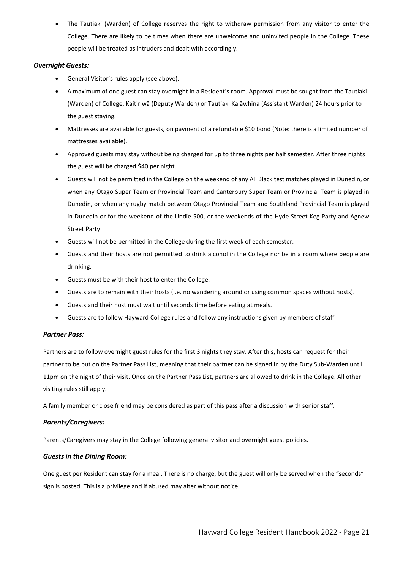• The Tautiaki (Warden) of College reserves the right to withdraw permission from any visitor to enter the College. There are likely to be times when there are unwelcome and uninvited people in the College. These people will be treated as intruders and dealt with accordingly.

#### *Overnight Guests:*

- General Visitor's rules apply (see above).
- A maximum of one guest can stay overnight in a Resident's room. Approval must be sought from the Tautiaki (Warden) of College, Kaitiriwā (Deputy Warden) or Tautiaki Kaiāwhina (Assistant Warden) 24 hours prior to the guest staying.
- Mattresses are available for guests, on payment of a refundable \$10 bond (Note: there is a limited number of mattresses available).
- Approved guests may stay without being charged for up to three nights per half semester. After three nights the guest will be charged \$40 per night.
- Guests will not be permitted in the College on the weekend of any All Black test matches played in Dunedin, or when any Otago Super Team or Provincial Team and Canterbury Super Team or Provincial Team is played in Dunedin, or when any rugby match between Otago Provincial Team and Southland Provincial Team is played in Dunedin or for the weekend of the Undie 500, or the weekends of the Hyde Street Keg Party and Agnew Street Party
- Guests will not be permitted in the College during the first week of each semester.
- Guests and their hosts are not permitted to drink alcohol in the College nor be in a room where people are drinking.
- Guests must be with their host to enter the College.
- Guests are to remain with their hosts (i.e. no wandering around or using common spaces without hosts).
- Guests and their host must wait until seconds time before eating at meals.
- Guests are to follow Hayward College rules and follow any instructions given by members of staff

#### *Partner Pass:*

Partners are to follow overnight guest rules for the first 3 nights they stay. After this, hosts can request for their partner to be put on the Partner Pass List, meaning that their partner can be signed in by the Duty Sub-Warden until 11pm on the night of their visit. Once on the Partner Pass List, partners are allowed to drink in the College. All other visiting rules still apply.

A family member or close friend may be considered as part of this pass after a discussion with senior staff.

#### *Parents/Caregivers:*

Parents/Caregivers may stay in the College following general visitor and overnight guest policies.

#### *Guests in the Dining Room:*

One guest per Resident can stay for a meal. There is no charge, but the guest will only be served when the "seconds" sign is posted. This is a privilege and if abused may alter without notice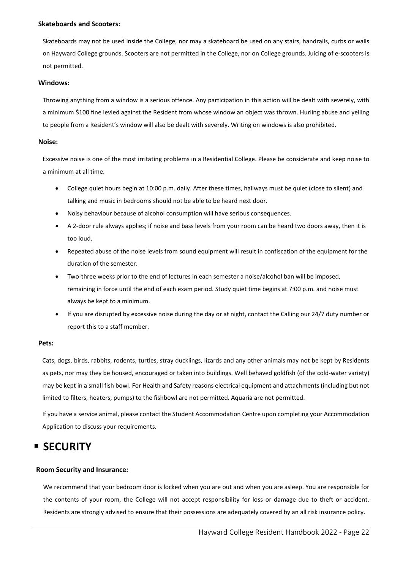#### <span id="page-22-0"></span>**Skateboards and Scooters:**

Skateboards may not be used inside the College, nor may a skateboard be used on any stairs, handrails, curbs or walls on Hayward College grounds. Scooters are not permitted in the College, nor on College grounds. Juicing of e-scooters is not permitted.

#### <span id="page-22-1"></span>**Windows:**

Throwing anything from a window is a serious offence. Any participation in this action will be dealt with severely, with a minimum \$100 fine levied against the Resident from whose window an object was thrown. Hurling abuse and yelling to people from a Resident's window will also be dealt with severely. Writing on windows is also prohibited.

#### <span id="page-22-2"></span>**Noise:**

Excessive noise is one of the most irritating problems in a Residential College. Please be considerate and keep noise to a minimum at all time.

- College quiet hours begin at 10:00 p.m. daily. After these times, hallways must be quiet (close to silent) and talking and music in bedrooms should not be able to be heard next door.
- Noisy behaviour because of alcohol consumption will have serious consequences.
- A 2-door rule always applies; if noise and bass levels from your room can be heard two doors away, then it is too loud.
- Repeated abuse of the noise levels from sound equipment will result in confiscation of the equipment for the duration of the semester.
- Two-three weeks prior to the end of lectures in each semester a noise/alcohol ban will be imposed, remaining in force until the end of each exam period. Study quiet time begins at 7:00 p.m. and noise must always be kept to a minimum.
- If you are disrupted by excessive noise during the day or at night, contact the Calling our 24/7 duty number or report this to a staff member.

#### <span id="page-22-3"></span>**Pets:**

Cats, dogs, birds, rabbits, rodents, turtles, stray ducklings, lizards and any other animals may not be kept by Residents as pets, nor may they be housed, encouraged or taken into buildings. Well behaved goldfish (of the cold-water variety) may be kept in a small fish bowl. For Health and Safety reasons electrical equipment and attachments (including but not limited to filters, heaters, pumps) to the fishbowl are not permitted. Aquaria are not permitted.

If you have a service animal, please contact the Student Accommodation Centre upon completing your Accommodation Application to discuss your requirements.

### <span id="page-22-4"></span>**SECURITY**

#### <span id="page-22-5"></span>**Room Security and Insurance:**

We recommend that your bedroom door is locked when you are out and when you are asleep. You are responsible for the contents of your room, the College will not accept responsibility for loss or damage due to theft or accident. Residents are strongly advised to ensure that their possessions are adequately covered by an all risk insurance policy.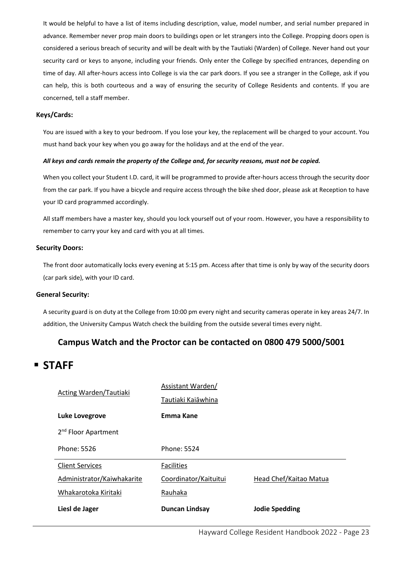It would be helpful to have a list of items including description, value, model number, and serial number prepared in advance. Remember never prop main doors to buildings open or let strangers into the College. Propping doors open is considered a serious breach of security and will be dealt with by the Tautiaki (Warden) of College. Never hand out your security card or keys to anyone, including your friends. Only enter the College by specified entrances, depending on time of day. All after-hours access into College is via the car park doors. If you see a stranger in the College, ask if you can help, this is both courteous and a way of ensuring the security of College Residents and contents. If you are concerned, tell a staff member.

#### <span id="page-23-0"></span>**Keys/Cards:**

You are issued with a key to your bedroom. If you lose your key, the replacement will be charged to your account. You must hand back your key when you go away for the holidays and at the end of the year.

#### *All keys and cards remain the property of the College and, for security reasons, must not be copied.*

When you collect your Student I.D. card, it will be programmed to provide after-hours access through the security door from the car park. If you have a bicycle and require access through the bike shed door, please ask at Reception to have your ID card programmed accordingly.

All staff members have a master key, should you lock yourself out of your room. However, you have a responsibility to remember to carry your key and card with you at all times.

#### <span id="page-23-1"></span>**Security Doors:**

The front door automatically locks every evening at 5:15 pm. Access after that time is only by way of the security doors (car park side), with your ID card.

#### <span id="page-23-2"></span>**General Security:**

A security guard is on duty at the College from 10:00 pm every night and security cameras operate in key areas 24/7. In addition, the University Campus Watch check the building from the outside several times every night.

#### **Campus Watch and the Proctor can be contacted on 0800 479 5000/5001**

### <span id="page-23-3"></span>**STAFF**

| Acting Warden/Tautiaki          | Assistant Warden/     |                        |  |
|---------------------------------|-----------------------|------------------------|--|
|                                 | Tautiaki Kaiāwhina    |                        |  |
| <b>Luke Lovegrove</b>           | Emma Kane             |                        |  |
| 2 <sup>nd</sup> Floor Apartment |                       |                        |  |
| Phone: 5526                     | Phone: 5524           |                        |  |
| <b>Client Services</b>          | <b>Facilities</b>     |                        |  |
| Administrator/Kaiwhakarite      | Coordinator/Kaituitui | Head Chef/Kaitao Matua |  |
| Whakarotoka Kiritaki            | Rauhaka               |                        |  |
| Liesl de Jager                  | <b>Duncan Lindsay</b> | <b>Jodie Spedding</b>  |  |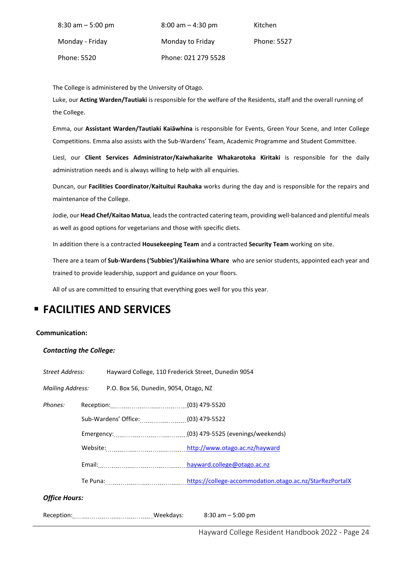| $8:30$ am $-5:00$ pm | $8:00$ am $-4:30$ pm | Kitchen     |
|----------------------|----------------------|-------------|
| Monday - Friday      | Monday to Friday     | Phone: 5527 |
| Phone: 5520          | Phone: 021 279 5528  |             |

The College is administered by the University of Otago.

Luke, our **Acting Warden/Tautiaki** is responsible for the welfare of the Residents, staff and the overall running of the College.

Emma, our **Assistant Warden/Tautiaki Kaiāwhina** is responsible for Events, Green Your Scene, and Inter College Competitions. Emma also assists with the Sub-Wardens' Team, Academic Programme and Student Committee.

Liesl, our **Client Services Administrator/Kaiwhakarite Whakarotoka Kiritaki** is responsible for the daily administration needs and is always willing to help with all enquiries.

Duncan, our **Facilities Coordinator**/**Kaituitui Rauhaka** works during the day and is responsible for the repairs and maintenance of the College.

Jodie, our **Head Chef/Kaitao Matua**, leadsthe contracted catering team, providing well-balanced and plentiful meals as well as good options for vegetarians and those with specific diets.

In addition there is a contracted **Housekeeping Team** and a contracted **Security Team** working on site.

There are a team of **Sub-Wardens ('Subbies')/Kaiāwhina Whare** who are senior students, appointed each year and trained to provide leadership, support and guidance on your floors.

All of us are committed to ensuring that everything goes well for you this year.

# <span id="page-24-0"></span>**FACILITIES AND SERVICES**

#### <span id="page-24-1"></span>**Communication:**

#### *Contacting the College:*

| Street Address:      |                                                           | Hayward College, 110 Frederick Street, Dunedin 9054 |  |                                                          |
|----------------------|-----------------------------------------------------------|-----------------------------------------------------|--|----------------------------------------------------------|
|                      | Mailing Address:<br>P.O. Box 56, Dunedin, 9054, Otago, NZ |                                                     |  |                                                          |
| Phones:              |                                                           |                                                     |  |                                                          |
|                      |                                                           | Sub-Wardens' Office: (03) 479-5522                  |  |                                                          |
|                      |                                                           |                                                     |  |                                                          |
|                      |                                                           |                                                     |  |                                                          |
|                      |                                                           |                                                     |  |                                                          |
|                      |                                                           |                                                     |  | https://college-accommodation.otago.ac.nz/StarRezPortalX |
| <b>Office Hours:</b> |                                                           |                                                     |  |                                                          |
|                      |                                                           |                                                     |  |                                                          |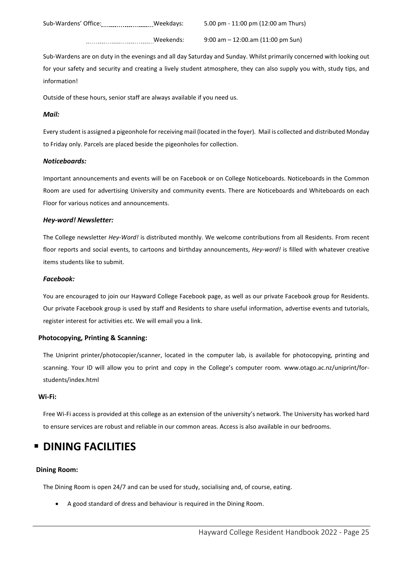Sub-Wardens' Office: ................................Weekdays: 5.00 pm - 11:00 pm (12:00 am Thurs)

Weekends: 9:00 am – 12:00.am (11:00 pm Sun)

Sub-Wardens are on duty in the evenings and all day Saturday and Sunday. Whilst primarily concerned with looking out for your safety and security and creating a lively student atmosphere, they can also supply you with, study tips, and information!

Outside of these hours, senior staff are always available if you need us.

#### *Mail:*

Every student is assigned a pigeonhole for receiving mail (located in the foyer). Mail is collected and distributed Monday to Friday only. Parcels are placed beside the pigeonholes for collection.

#### *Noticeboards:*

Important announcements and events will be on Facebook or on College Noticeboards. Noticeboards in the Common Room are used for advertising University and community events. There are Noticeboards and Whiteboards on each Floor for various notices and announcements.

#### *Hey-word! Newsletter:*

The College newsletter *Hey-Word!* is distributed monthly. We welcome contributions from all Residents. From recent floor reports and social events, to cartoons and birthday announcements, *Hey-word!* is filled with whatever creative items students like to submit.

#### *Facebook:*

You are encouraged to join our Hayward College Facebook page, as well as our private Facebook group for Residents. Our private Facebook group is used by staff and Residents to share useful information, advertise events and tutorials, register interest for activities etc. We will email you a link.

#### <span id="page-25-0"></span>**Photocopying, Printing & Scanning:**

The Uniprint printer/photocopier/scanner, located in the computer lab, is available for photocopying, printing and scanning. Your ID will allow you to print and copy in the College's computer room. [www.otago.ac.nz/uniprint/for](http://www.otago.ac.nz/uniprint/for-students/index.html)[students/index.html](http://www.otago.ac.nz/uniprint/for-students/index.html)

#### <span id="page-25-1"></span>**Wi-Fi:**

Free Wi-Fi access is provided at this college as an extension of the university's network. The University has worked hard to ensure services are robust and reliable in our common areas. Access is also available in our bedrooms.

### <span id="page-25-2"></span>**<b>P** DINING FACILITIES

#### <span id="page-25-3"></span>**Dining Room:**

The Dining Room is open 24/7 and can be used for study, socialising and, of course, eating.

• A good standard of dress and behaviour is required in the Dining Room.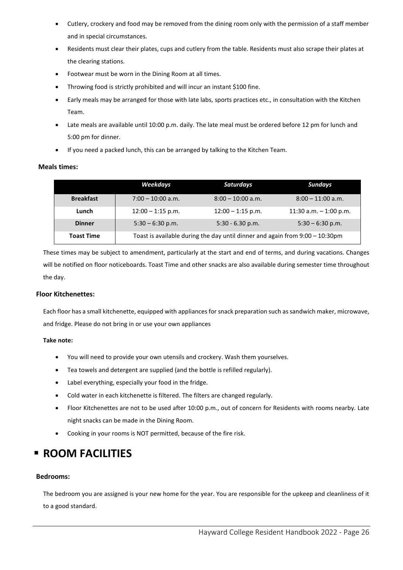- Cutlery, crockery and food may be removed from the dining room only with the permission of a staff member and in special circumstances.
- Residents must clear their plates, cups and cutlery from the table. Residents must also scrape their plates at the clearing stations.
- Footwear must be worn in the Dining Room at all times.
- Throwing food is strictly prohibited and will incur an instant \$100 fine.
- Early meals may be arranged for those with late labs, sports practices etc., in consultation with the Kitchen Team.
- Late meals are available until 10:00 p.m. daily. The late meal must be ordered before 12 pm for lunch and 5:00 pm for dinner.
- If you need a packed lunch, this can be arranged by talking to the Kitchen Team.

#### <span id="page-26-0"></span>**Meals times:**

|                   | Weekdays                                                                     | <b>Saturdays</b>    | Sundays                  |
|-------------------|------------------------------------------------------------------------------|---------------------|--------------------------|
| <b>Breakfast</b>  | $7:00 - 10:00$ a.m.                                                          | $8:00 - 10:00$ a.m. | $8:00 - 11:00$ a.m.      |
| Lunch             | $12:00 - 1:15$ p.m.                                                          | $12:00 - 1:15$ p.m. | 11:30 a.m. $-$ 1:00 p.m. |
| <b>Dinner</b>     | $5:30 - 6:30$ p.m.                                                           | $5:30 - 6.30$ p.m.  | $5:30 - 6:30$ p.m.       |
| <b>Toast Time</b> | Toast is available during the day until dinner and again from 9:00 - 10:30pm |                     |                          |

These times may be subject to amendment, particularly at the start and end of terms, and during vacations. Changes will be notified on floor noticeboards. Toast Time and other snacks are also available during semester time throughout the day.

#### <span id="page-26-1"></span>**Floor Kitchenettes:**

Each floor has a small kitchenette, equipped with appliances for snack preparation such as sandwich maker, microwave, and fridge. Please do not bring in or use your own appliances

#### **Take note:**

- You will need to provide your own utensils and crockery. Wash them yourselves.
- Tea towels and detergent are supplied (and the bottle is refilled regularly).
- Label everything, especially your food in the fridge.
- Cold water in each kitchenette is filtered. The filters are changed regularly.
- Floor Kitchenettes are not to be used after 10:00 p.m., out of concern for Residents with rooms nearby. Late night snacks can be made in the Dining Room.
- Cooking in your rooms is NOT permitted, because of the fire risk.

# <span id="page-26-2"></span>**EXPOOM FACILITIES**

#### <span id="page-26-3"></span>**Bedrooms:**

<span id="page-26-4"></span>The bedroom you are assigned is your new home for the year. You are responsible for the upkeep and cleanliness of it to a good standard.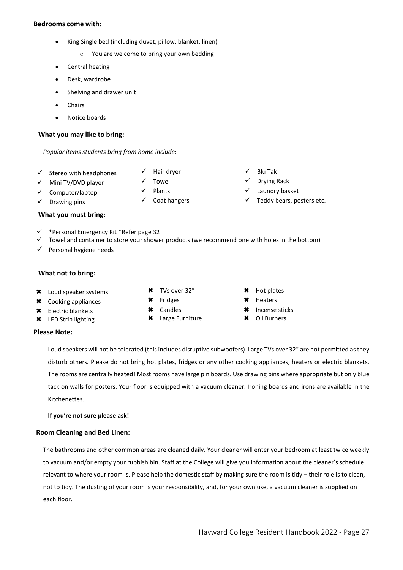#### **Bedrooms come with:**

- King Single bed (including duvet, pillow, blanket, linen)
	- o You are welcome to bring your own bedding
- Central heating
- Desk, wardrobe
- Shelving and drawer unit
- **Chairs**
- Notice boards

#### <span id="page-27-0"></span>**What you may like to bring:**

#### *Popular items students bring from home include*:

- $\checkmark$  Stereo with headphones  $\checkmark$  Hair dryer  $\checkmark$  Blu Tak
- $\checkmark$  Mini TV/DVD player  $\checkmark$  Towel  $\checkmark$  Drying Rack
- $\checkmark$  Computer/laptop  $\checkmark$  Plants  $\checkmark$  Laundry basket
- 
- 
- <span id="page-27-1"></span>**What you must bring:**
- $\checkmark$  \*Personal Emergency Kit \*Refer page 32
- $\checkmark$  Towel and container to store your shower products (we recommend one with holes in the bottom)
- $\checkmark$  Personal hygiene needs

#### <span id="page-27-2"></span>**What not to bring:**

- \* Loud speaker systems \* TVs over 32" \* Hot plates
- **\*** Cooking appliances **\*** Fridges **\*** Heaters
- **\*** Electric blankets
- LED Strip lighting

#### **Please Note:**

Loud speakers will not be tolerated (this includes disruptive subwoofers). Large TVs over 32" are not permitted as they disturb others*.* Please do not bring hot plates, fridges or any other cooking appliances, heaters or electric blankets. The rooms are centrally heated! Most rooms have large pin boards. Use drawing pins where appropriate but only blue tack on walls for posters. Your floor is equipped with a vacuum cleaner. Ironing boards and irons are available in the Kitchenettes.

**If you're not sure please ask!**

#### <span id="page-27-3"></span>**Room Cleaning and Bed Linen:**

The bathrooms and other common areas are cleaned daily. Your cleaner will enter your bedroom at least twice weekly to vacuum and/or empty your rubbish bin. Staff at the College will give you information about the cleaner's schedule relevant to where your room is. Please help the domestic staff by making sure the room is tidy – their role is to clean, not to tidy. The dusting of your room is your responsibility, and, for your own use, a vacuum cleaner is supplied on each floor.

- 
- 
- Candles
- Large Furniture
- 
- 

\* Incense sticks Oil Burners

- 
- $\checkmark$  Drawing pins  $\checkmark$  Coat hangers  $\checkmark$  Teddy bears, posters etc.
- 
-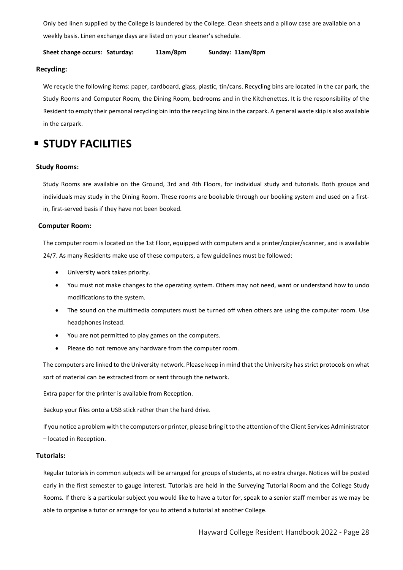Only bed linen supplied by the College is laundered by the College. Clean sheets and a pillow case are available on a weekly basis. Linen exchange days are listed on your cleaner's schedule.

**Sheet change occurs: Saturday: 11am/8pm Sunday: 11am/8pm**

#### <span id="page-28-0"></span>**Recycling:**

We recycle the following items: paper, cardboard, glass, plastic, tin/cans. Recycling bins are located in the car park, the Study Rooms and Computer Room, the Dining Room, bedrooms and in the Kitchenettes. It is the responsibility of the Resident to empty their personal recycling bin into the recycling bins in the carpark. A general waste skip is also available in the carpark.

### <span id="page-28-1"></span>**STUDY FACILITIES**

#### <span id="page-28-2"></span>**Study Rooms:**

Study Rooms are available on the Ground, 3rd and 4th Floors, for individual study and tutorials. Both groups and individuals may study in the Dining Room. These rooms are bookable through our booking system and used on a firstin, first-served basis if they have not been booked.

#### <span id="page-28-3"></span>**Computer Room:**

The computer room is located on the 1st Floor, equipped with computers and a printer/copier/scanner, and is available 24/7. As many Residents make use of these computers, a few guidelines must be followed:

- University work takes priority.
- You must not make changes to the operating system. Others may not need, want or understand how to undo modifications to the system.
- The sound on the multimedia computers must be turned off when others are using the computer room. Use headphones instead.
- You are not permitted to play games on the computers.
- Please do not remove any hardware from the computer room.

The computers are linked to the University network. Please keep in mind that the University has strict protocols on what sort of material can be extracted from or sent through the network.

Extra paper for the printer is available from Reception.

Backup your files onto a USB stick rather than the hard drive.

If you notice a problem with the computers or printer, please bring it to the attention of the Client Services Administrator – located in Reception.

#### <span id="page-28-4"></span>**Tutorials:**

Regular tutorials in common subjects will be arranged for groups of students, at no extra charge. Notices will be posted early in the first semester to gauge interest. Tutorials are held in the Surveying Tutorial Room and the College Study Rooms. If there is a particular subject you would like to have a tutor for, speak to a senior staff member as we may be able to organise a tutor or arrange for you to attend a tutorial at another College.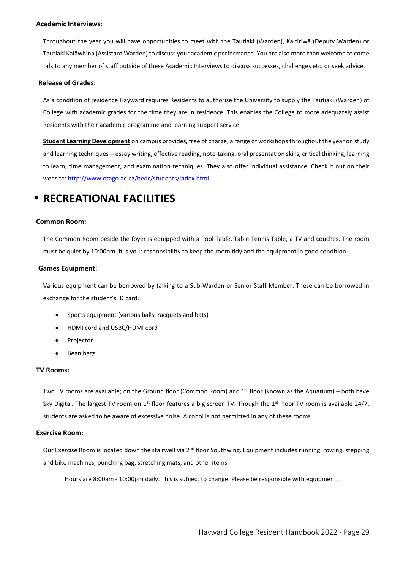#### <span id="page-29-0"></span>**Academic Interviews:**

Throughout the year you will have opportunities to meet with the Tautiaki (Warden), Kaitiriwā (Deputy Warden) or Tautiaki Kaiāwhina (Assistant Warden) to discuss your academic performance. You are also more than welcome to come talk to any member of staff outside of these Academic Interviews to discuss successes, challenges etc. or seek advice.

#### <span id="page-29-1"></span>**Release of Grades:**

As a condition of residence Hayward requires Residents to authorise the University to supply the Tautiaki (Warden) of College with academic grades for the time they are in residence. This enables the College to more adequately assist Residents with their academic programme and learning support service.

**Student Learning Development** on campus provides, free of charge, a range of workshops throughout the year on study and learning techniques -- essay writing, effective reading, note-taking, oral presentation skills, critical thinking, learning to learn, time management, and examination techniques. They also offer individual assistance. Check it out on their website[: http://www.otago.ac.nz/hedc/students/index.html](http://www.otago.ac.nz/hedc/students/index.html)

### <span id="page-29-2"></span>**RECREATIONAL FACILITIES**

#### <span id="page-29-3"></span>**Common Room:**

The Common Room beside the foyer is equipped with a Pool Table, Table Tennis Table, a TV and couches. The room must be quiet by 10:00pm. It is your responsibility to keep the room tidy and the equipment in good condition.

#### <span id="page-29-4"></span>**Games Equipment:**

Various equipment can be borrowed by talking to a Sub-Warden or Senior Staff Member. These can be borrowed in exchange for the student's ID card.

- Sports equipment (various balls, racquets and bats)
- HDMI cord and USBC/HDMI cord
- **Projector**
- Bean bags

#### <span id="page-29-5"></span>**TV Rooms:**

Two TV rooms are available; on the Ground floor (Common Room) and  $1<sup>st</sup>$  floor (known as the Aquarium) – both have Sky Digital. The largest TV room on 1<sup>st</sup> floor features a big screen TV. Though the 1<sup>st</sup> Floor TV room is available 24/7, students are asked to be aware of excessive noise. Alcohol is not permitted in any of these rooms.

#### <span id="page-29-6"></span>**Exercise Room:**

Our Exercise Room is located down the stairwell via 2<sup>nd</sup> floor Southwing. Equipment includes running, rowing, stepping and bike machines, punching bag, stretching mats, and other items.

Hours are 8:00am - 10:00pm daily. This is subject to change. Please be responsible with equipment.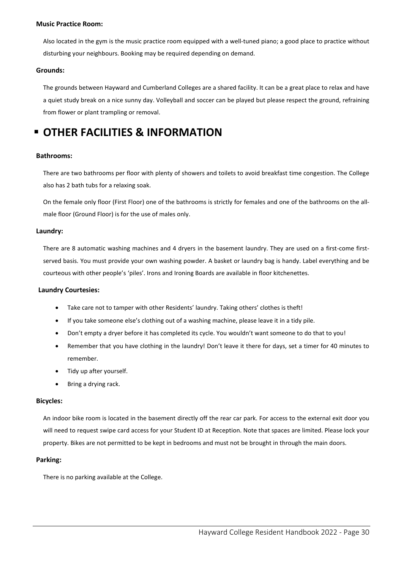#### <span id="page-30-0"></span>**Music Practice Room:**

Also located in the gym is the music practice room equipped with a well-tuned piano; a good place to practice without disturbing your neighbours. Booking may be required depending on demand.

#### <span id="page-30-1"></span>**Grounds:**

The grounds between Hayward and Cumberland Colleges are a shared facility. It can be a great place to relax and have a quiet study break on a nice sunny day. Volleyball and soccer can be played but please respect the ground, refraining from flower or plant trampling or removal.

### <span id="page-30-2"></span>**OTHER FACILITIES & INFORMATION**

#### <span id="page-30-3"></span>**Bathrooms:**

There are two bathrooms per floor with plenty of showers and toilets to avoid breakfast time congestion. The College also has 2 bath tubs for a relaxing soak.

On the female only floor (First Floor) one of the bathrooms is strictly for females and one of the bathrooms on the allmale floor (Ground Floor) is for the use of males only.

#### <span id="page-30-4"></span>**Laundry:**

There are 8 automatic washing machines and 4 dryers in the basement laundry. They are used on a first-come firstserved basis. You must provide your own washing powder. A basket or laundry bag is handy. Label everything and be courteous with other people's 'piles'. Irons and Ironing Boards are available in floor kitchenettes.

#### <span id="page-30-5"></span>**Laundry Courtesies:**

- Take care not to tamper with other Residents' laundry. Taking others' clothes is theft!
- If you take someone else's clothing out of a washing machine, please leave it in a tidy pile.
- Don't empty a dryer before it has completed its cycle. You wouldn't want someone to do that to you!
- Remember that you have clothing in the laundry! Don't leave it there for days, set a timer for 40 minutes to remember.
- Tidy up after yourself.
- Bring a drying rack.

#### <span id="page-30-6"></span>**Bicycles:**

An indoor bike room is located in the basement directly off the rear car park. For access to the external exit door you will need to request swipe card access for your Student ID at Reception. Note that spaces are limited. Please lock your property. Bikes are not permitted to be kept in bedrooms and must not be brought in through the main doors.

#### <span id="page-30-7"></span>**Parking:**

There is no parking available at the College.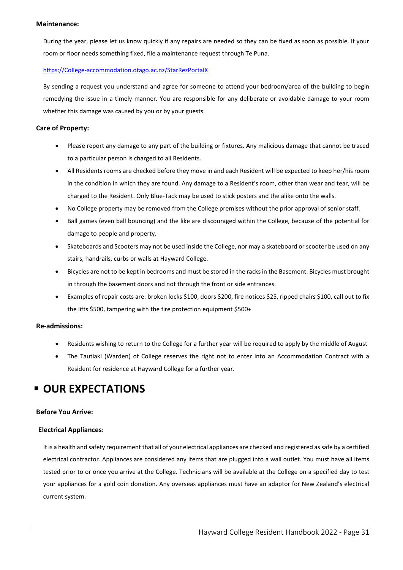#### <span id="page-31-0"></span>**Maintenance:**

During the year, please let us know quickly if any repairs are needed so they can be fixed as soon as possible. If your room or floor needs something fixed, file a maintenance request through Te Puna.

#### [https://College-accommodation.otago.ac.nz/StarRezPortalX](https://college-accommodation.otago.ac.nz/StarRezPortalX)

By sending a request you understand and agree for someone to attend your bedroom/area of the building to begin remedying the issue in a timely manner. You are responsible for any deliberate or avoidable damage to your room whether this damage was caused by you or by your guests.

#### <span id="page-31-1"></span>**Care of Property:**

- Please report any damage to any part of the building or fixtures. Any malicious damage that cannot be traced to a particular person is charged to all Residents.
- All Residents rooms are checked before they move in and each Resident will be expected to keep her/his room in the condition in which they are found. Any damage to a Resident's room, other than wear and tear, will be charged to the Resident. Only Blue-Tack may be used to stick posters and the alike onto the walls.
- No College property may be removed from the College premises without the prior approval of senior staff.
- Ball games (even ball bouncing) and the like are discouraged within the College, because of the potential for damage to people and property.
- Skateboards and Scooters may not be used inside the College, nor may a skateboard or scooter be used on any stairs, handrails, curbs or walls at Hayward College.
- Bicycles are not to be kept in bedrooms and must be stored in the racks in the Basement. Bicycles must brought in through the basement doors and not through the front or side entrances.
- Examples of repair costs are: broken locks \$100, doors \$200, fire notices \$25, ripped chairs \$100, call out to fix the lifts \$500, tampering with the fire protection equipment \$500+

#### <span id="page-31-2"></span>**Re-admissions:**

- Residents wishing to return to the College for a further year will be required to apply by the middle of August
- The Tautiaki (Warden) of College reserves the right not to enter into an Accommodation Contract with a Resident for residence at Hayward College for a further year.

### <span id="page-31-3"></span>**<b>DUR EXPECTATIONS**

#### <span id="page-31-4"></span>**Before You Arrive:**

#### <span id="page-31-5"></span>**Electrical Appliances:**

It is a health and safety requirement that all of your electrical appliances are checked and registered as safe by a certified electrical contractor. Appliances are considered any items that are plugged into a wall outlet. You must have all items tested prior to or once you arrive at the College. Technicians will be available at the College on a specified day to test your appliances for a gold coin donation. Any overseas appliances must have an adaptor for New Zealand's electrical current system.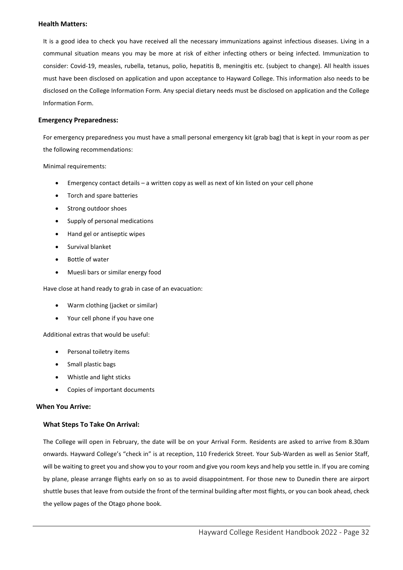#### <span id="page-32-0"></span>**Health Matters:**

It is a good idea to check you have received all the necessary immunizations against infectious diseases. Living in a communal situation means you may be more at risk of either infecting others or being infected. Immunization to consider: Covid-19, measles, rubella, tetanus, polio, hepatitis B, meningitis etc. (subject to change). All health issues must have been disclosed on application and upon acceptance to Hayward College. This information also needs to be disclosed on the College Information Form. Any special dietary needs must be disclosed on application and the College Information Form.

#### <span id="page-32-1"></span>**Emergency Preparedness:**

For emergency preparedness you must have a small personal emergency kit (grab bag) that is kept in your room as per the following recommendations:

Minimal requirements:

- Emergency contact details a written copy as well as next of kin listed on your cell phone
- Torch and spare batteries
- Strong outdoor shoes
- Supply of personal medications
- Hand gel or antiseptic wipes
- Survival blanket
- Bottle of water
- Muesli bars or similar energy food

Have close at hand ready to grab in case of an evacuation:

- Warm clothing (jacket or similar)
- Your cell phone if you have one

Additional extras that would be useful:

- Personal toiletry items
- Small plastic bags
- Whistle and light sticks
- Copies of important documents

#### <span id="page-32-2"></span>**When You Arrive:**

#### **What Steps To Take On Arrival:**

The College will open in February, the date will be on your Arrival Form. Residents are asked to arrive from 8.30am onwards. Hayward College's "check in" is at reception, 110 Frederick Street. Your Sub-Warden as well as Senior Staff, will be waiting to greet you and show you to your room and give you room keys and help you settle in. If you are coming by plane, please arrange flights early on so as to avoid disappointment. For those new to Dunedin there are airport shuttle buses that leave from outside the front of the terminal building after most flights, or you can book ahead, check the yellow pages of the Otago phone book.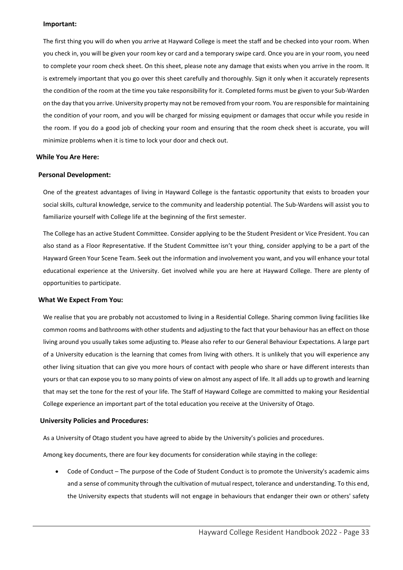#### **Important:**

The first thing you will do when you arrive at Hayward College is meet the staff and be checked into your room. When you check in, you will be given your room key or card and a temporary swipe card. Once you are in your room, you need to complete your room check sheet. On this sheet, please note any damage that exists when you arrive in the room. It is extremely important that you go over this sheet carefully and thoroughly. Sign it only when it accurately represents the condition of the room at the time you take responsibility for it. Completed forms must be given to your Sub-Warden on the day that you arrive. University property may not be removed from your room. You are responsible for maintaining the condition of your room, and you will be charged for missing equipment or damages that occur while you reside in the room. If you do a good job of checking your room and ensuring that the room check sheet is accurate, you will minimize problems when it is time to lock your door and check out.

#### <span id="page-33-0"></span>**While You Are Here:**

#### <span id="page-33-1"></span>**Personal Development:**

One of the greatest advantages of living in Hayward College is the fantastic opportunity that exists to broaden your social skills, cultural knowledge, service to the community and leadership potential. The Sub-Wardens will assist you to familiarize yourself with College life at the beginning of the first semester.

The College has an active Student Committee. Consider applying to be the Student President or Vice President. You can also stand as a Floor Representative. If the Student Committee isn't your thing, consider applying to be a part of the Hayward Green Your Scene Team. Seek out the information and involvement you want, and you will enhance your total educational experience at the University. Get involved while you are here at Hayward College. There are plenty of opportunities to participate.

#### <span id="page-33-2"></span>**What We Expect From You:**

We realise that you are probably not accustomed to living in a Residential College. Sharing common living facilities like common rooms and bathrooms with other students and adjusting to the fact that your behaviour has an effect on those living around you usually takes some adjusting to. Please also refer to our General Behaviour Expectations. A large part of a University education is the learning that comes from living with others. It is unlikely that you will experience any other living situation that can give you more hours of contact with people who share or have different interests than yours or that can expose you to so many points of view on almost any aspect of life. It all adds up to growth and learning that may set the tone for the rest of your life. The Staff of Hayward College are committed to making your Residential College experience an important part of the total education you receive at the University of Otago.

#### <span id="page-33-3"></span>**University Policies and Procedures:**

As a University of Otago student you have agreed to abide by the University's policies and procedures.

Among key documents, there are four key documents for consideration while staying in the college:

• Code of Conduct – The purpose of the Code of Student Conduct is to promote the University's academic aims and a sense of community through the cultivation of mutual respect, tolerance and understanding. To this end, the University expects that students will not engage in behaviours that endanger their own or others' safety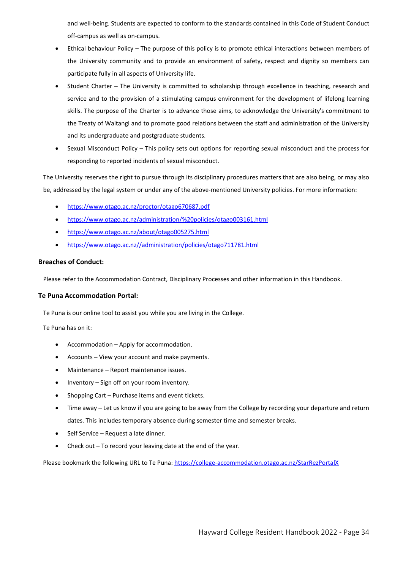and well-being. Students are expected to conform to the standards contained in this Code of Student Conduct off-campus as well as on-campus.

- Ethical behaviour Policy The purpose of this policy is to promote ethical interactions between members of the University community and to provide an environment of safety, respect and dignity so members can participate fully in all aspects of University life.
- Student Charter The University is committed to scholarship through excellence in teaching, research and service and to the provision of a stimulating campus environment for the development of lifelong learning skills. The purpose of the Charter is to advance those aims, to acknowledge the University's commitment to the Treaty of Waitangi and to promote good relations between the staff and administration of the University and its undergraduate and postgraduate students.
- Sexual Misconduct Policy This policy sets out options for reporting sexual misconduct and the process for responding to reported incidents of sexual misconduct.

The University reserves the right to pursue through its disciplinary procedures matters that are also being, or may also be, addressed by the legal system or under any of the above-mentioned University policies. For more information:

- <https://www.otago.ac.nz/proctor/otago670687.pdf>
- <https://www.otago.ac.nz/administration/%20policies/otago003161.html>
- <https://www.otago.ac.nz/about/otago005275.html>
- [https://www.otago.ac.nz//administration/policies/otago711781.html](https://www.otago.ac.nz/administration/policies/otago711781.html)

#### <span id="page-34-0"></span>**Breaches of Conduct:**

Please refer to the Accommodation Contract, Disciplinary Processes and other information in this Handbook.

#### <span id="page-34-1"></span>**Te Puna Accommodation Portal:**

Te Puna is our online tool to assist you while you are living in the College.

Te Puna has on it:

- Accommodation Apply for accommodation.
- Accounts View your account and make payments.
- Maintenance Report maintenance issues.
- Inventory Sign off on your room inventory.
- Shopping Cart Purchase items and event tickets.
- Time away Let us know if you are going to be away from the College by recording your departure and return dates. This includes temporary absence during semester time and semester breaks.
- Self Service Request a late dinner.
- Check out To record your leaving date at the end of the year.

Please bookmark the following URL to Te Puna:<https://college-accommodation.otago.ac.nz/StarRezPortalX>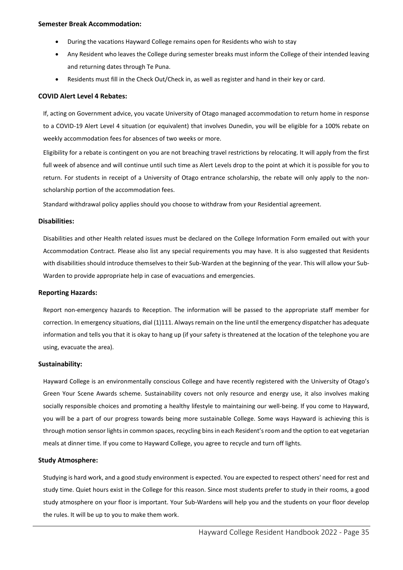#### <span id="page-35-0"></span>**Semester Break Accommodation:**

- During the vacations Hayward College remains open for Residents who wish to stay
- Any Resident who leaves the College during semester breaks must inform the College of their intended leaving and returning dates through Te Puna.
- Residents must fill in the Check Out/Check in, as well as register and hand in their key or card.

#### <span id="page-35-1"></span>**COVID Alert Level 4 Rebates:**

If, acting on Government advice, you vacate University of Otago managed accommodation to return home in response to a COVID-19 Alert Level 4 situation (or equivalent) that involves Dunedin, you will be eligible for a 100% rebate on weekly accommodation fees for absences of two weeks or more.

Eligibility for a rebate is contingent on you are not breaching travel restrictions by relocating. It will apply from the first full week of absence and will continue until such time as Alert Levels drop to the point at which it is possible for you to return. For students in receipt of a University of Otago entrance scholarship, the rebate will only apply to the nonscholarship portion of the accommodation fees.

Standard withdrawal policy applies should you choose to withdraw from your Residential agreement.

#### <span id="page-35-2"></span>**Disabilities:**

Disabilities and other Health related issues must be declared on the College Information Form emailed out with your Accommodation Contract. Please also list any special requirements you may have. It is also suggested that Residents with disabilities should introduce themselves to their Sub-Warden at the beginning of the year. This will allow your Sub-Warden to provide appropriate help in case of evacuations and emergencies.

#### <span id="page-35-3"></span>**Reporting Hazards:**

Report non-emergency hazards to Reception. The information will be passed to the appropriate staff member for correction. In emergency situations, dial (1)111. Always remain on the line until the emergency dispatcher has adequate information and tells you that it is okay to hang up (if your safety is threatened at the location of the telephone you are using, evacuate the area).

#### <span id="page-35-4"></span>**Sustainability:**

Hayward College is an environmentally conscious College and have recently registered with the University of Otago's Green Your Scene Awards scheme. Sustainability covers not only resource and energy use, it also involves making socially responsible choices and promoting a healthy lifestyle to maintaining our well-being. If you come to Hayward, you will be a part of our progress towards being more sustainable College. Some ways Hayward is achieving this is through motion sensor lights in common spaces, recycling bins in each Resident'sroom and the option to eat vegetarian meals at dinner time. If you come to Hayward College, you agree to recycle and turn off lights.

#### <span id="page-35-5"></span>**Study Atmosphere:**

Studying is hard work, and a good study environment is expected. You are expected to respect others' need for rest and study time. Quiet hours exist in the College for this reason. Since most students prefer to study in their rooms, a good study atmosphere on your floor is important. Your Sub-Wardens will help you and the students on your floor develop the rules. It will be up to you to make them work.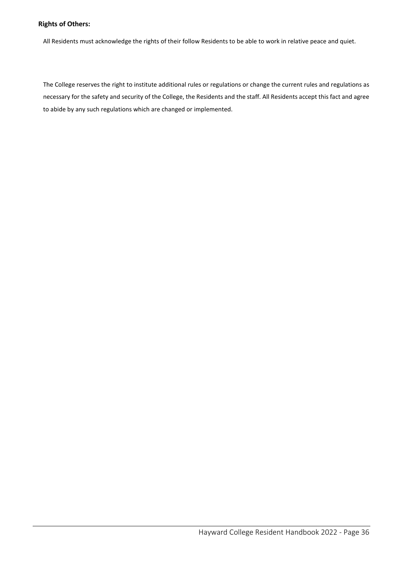#### <span id="page-36-0"></span>**Rights of Others:**

All Residents must acknowledge the rights of their follow Residents to be able to work in relative peace and quiet.

The College reserves the right to institute additional rules or regulations or change the current rules and regulations as necessary for the safety and security of the College, the Residents and the staff. All Residents accept this fact and agree to abide by any such regulations which are changed or implemented.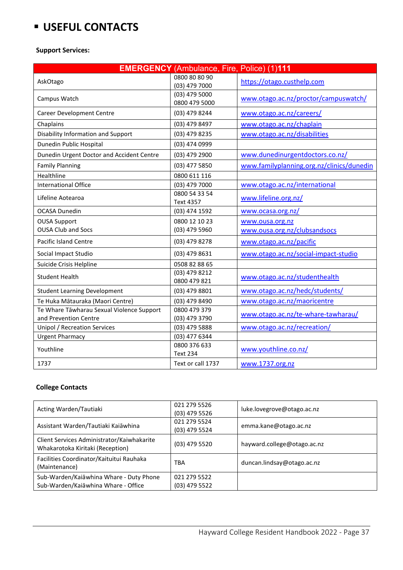# <span id="page-37-0"></span>**USEFUL CONTACTS**

#### <span id="page-37-1"></span>**Support Services:**

|                                                  | <b>EMERGENCY</b> (Ambulance, Fire, Police) (1)111 |                                                 |
|--------------------------------------------------|---------------------------------------------------|-------------------------------------------------|
| AskOtago                                         | 0800 80 80 90<br>(03) 479 7000                    | https://otago.custhelp.com                      |
| Campus Watch                                     | $(03)$ 479 5000<br>0800 479 5000                  | www.otago.ac.nz/proctor/campuswatch/            |
| <b>Career Development Centre</b>                 | (03) 479 8244                                     | www.otago.ac.nz/careers/                        |
| Chaplains                                        | (03) 479 8497                                     | www.otago.ac.nz/chaplain                        |
| Disability Information and Support               | (03) 479 8235                                     | www.otago.ac.nz/disabilities                    |
| Dunedin Public Hospital                          | (03) 474 0999                                     |                                                 |
| Dunedin Urgent Doctor and Accident Centre        | (03) 479 2900                                     | www.dunedinurgentdoctors.co.nz/                 |
| <b>Family Planning</b>                           | (03) 477 5850                                     | www.familyplanning.org.nz/clinics/dunedin       |
| Healthline                                       | 0800 611 116                                      |                                                 |
| International Office                             | (03) 479 7000                                     | www.otago.ac.nz/international                   |
| Lifeline Aotearoa                                | 0800 54 33 54<br><b>Text 4357</b>                 | www.lifeline.org.nz/                            |
| <b>OCASA Dunedin</b>                             | (03) 474 1592                                     | www.ocasa.org.nz/                               |
| <b>OUSA Support</b><br><b>OUSA Club and Socs</b> | 0800 12 10 23<br>(03) 479 5960                    | www.ousa.org.nz<br>www.ousa.org.nz/clubsandsocs |
| <b>Pacific Island Centre</b>                     | (03) 479 8278                                     | www.otago.ac.nz/pacific                         |
| Social Impact Studio                             | (03) 479 8631                                     | www.otago.ac.nz/social-impact-studio            |
| Suicide Crisis Helpline                          | 0508 82 88 65                                     |                                                 |
| <b>Student Health</b>                            | (03) 479 8212<br>0800 479 821                     | www.otago.ac.nz/studenthealth                   |
| <b>Student Learning Development</b>              | (03) 479 8801                                     | www.otago.ac.nz/hedc/students/                  |
| Te Huka Mātauraka (Maori Centre)                 | (03) 479 8490                                     | www.otago.ac.nz/maoricentre                     |
| Te Whare Tāwharau Sexual Violence Support        | 0800 479 379                                      | www.otago.ac.nz/te-whare-tawharau/              |
| and Prevention Centre                            | (03) 479 3790                                     |                                                 |
| <b>Unipol / Recreation Services</b>              | (03) 479 5888                                     | www.otago.ac.nz/recreation/                     |
| <b>Urgent Pharmacy</b>                           | (03) 477 6344                                     |                                                 |
| Youthline                                        | 0800 376 633<br><b>Text 234</b>                   | www.youthline.co.nz/                            |
| 1737                                             | Text or call 1737                                 | www.1737.org.nz                                 |

### <span id="page-37-2"></span>**College Contacts**

| Acting Warden/Tautiaki                                                         | 021 279 5526<br>$(03)$ 479 5526 | luke.lovegrove@otago.ac.nz  |
|--------------------------------------------------------------------------------|---------------------------------|-----------------------------|
| Assistant Warden/Tautiaki Kaiāwhina                                            | 021 279 5524<br>(03) 479 5524   | emma.kane@otago.ac.nz       |
| Client Services Administrator/Kaiwhakarite<br>Whakarotoka Kiritaki (Reception) | $(03)$ 479 5520                 | hayward.college@otago.ac.nz |
| Facilities Coordinator/Kaituitui Rauhaka<br>(Maintenance)                      | <b>TBA</b>                      | duncan.lindsay@otago.ac.nz  |
| Sub-Warden/Kaiāwhina Whare - Duty Phone<br>Sub-Warden/Kaiāwhina Whare - Office | 021 279 5522<br>(03) 479 5522   |                             |